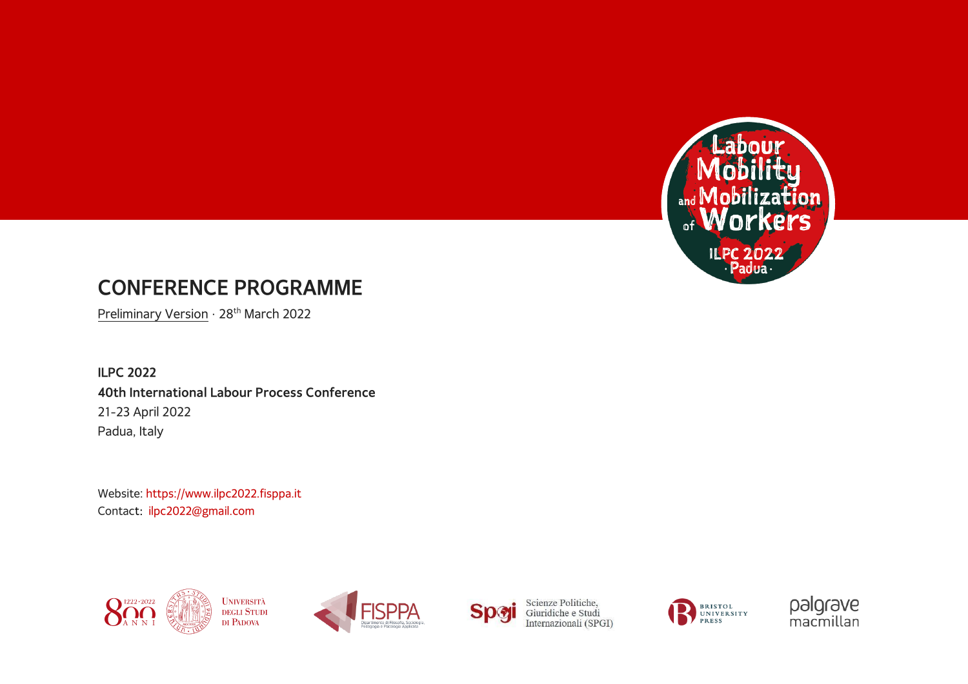

# **CONFERENCE PROGRAMME**

Preliminary Version · 28<sup>th</sup> March 2022

**ILPC 2022 40th International Labour Process Conference** 21-23 April 2022 Padua, Italy

Website: [https://www.ilpc2022.fisppa.it](https://www.ilpc2022.fisppa.it/) Contact: [ilpc2022@gmail.com](mailto:ilpc2022@gmail.com)









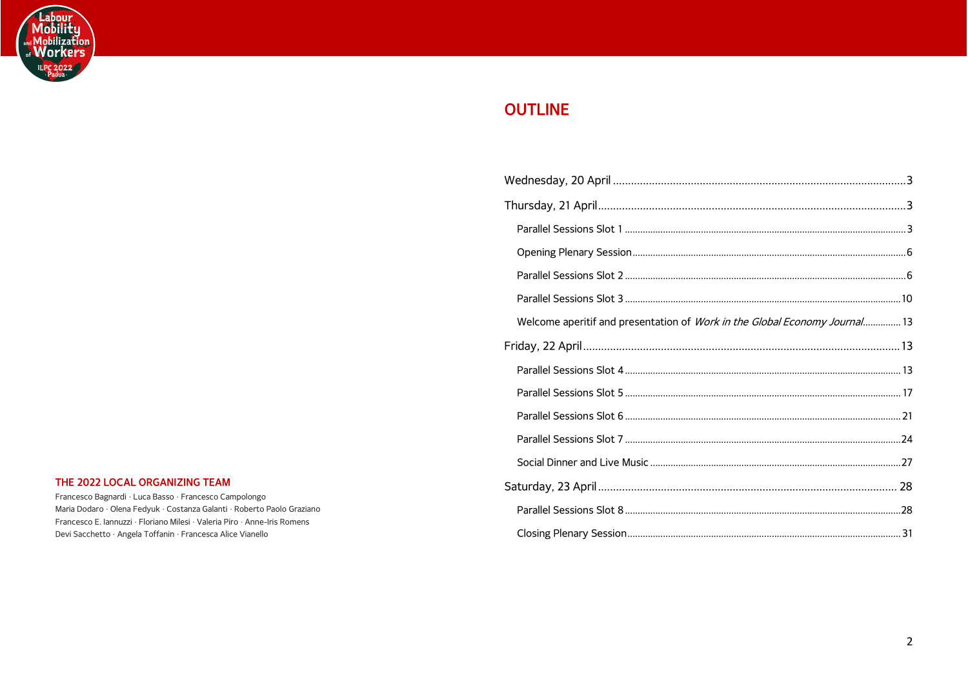

# **OUTLINE**

| Welcome aperitif and presentation of Work in the Global Economy Journal 13 |  |
|----------------------------------------------------------------------------|--|
|                                                                            |  |
|                                                                            |  |
|                                                                            |  |
|                                                                            |  |
|                                                                            |  |
|                                                                            |  |
|                                                                            |  |
|                                                                            |  |
|                                                                            |  |

### THE 2022 LOCAL ORGANIZING TEAM

Francesco Bagnardi · Luca Basso · Francesco Campolongo Maria Dodaro · Olena Fedyuk · Costanza Galanti · Roberto Paolo Graziano Francesco E. Iannuzzi · Floriano Milesi · Valeria Piro · Anne-Iris Romens Devi Sacchetto · Angela Toffanin · Francesca Alice Vianello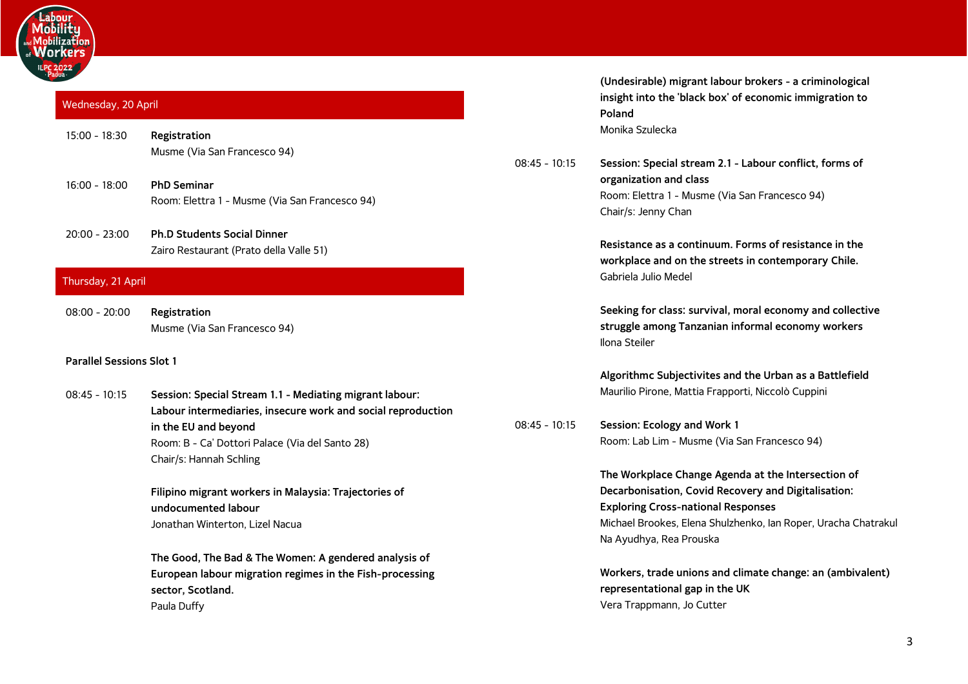

# <span id="page-2-0"></span>Wednesday, 20 April

| 15:00 - 18:30 | Registration                 |
|---------------|------------------------------|
|               | Musme (Via San Francesco 94) |

- 16:00 18:00 **PhD Seminar** Room: Elettra 1 - Musme (Via San Francesco 94)
- 20:00 23:00 **Ph.D Students Social Dinner** Zairo Restaurant (Prato della Valle 51)

# <span id="page-2-1"></span>Thursday, 21 April

08:00 - 20:00 **Registration** Musme (Via San Francesco 94)

#### <span id="page-2-2"></span>**Parallel Sessions Slot 1**

08:45 - 10:15 **Session: Special Stream 1.1 - Mediating migrant labour: Labour intermediaries, insecure work and social reproduction in the EU and beyond** Room: B - Ca' Dottori Palace (Via del Santo 28) Chair/s: Hannah Schling

> **Filipino migrant workers in Malaysia: Trajectories of undocumented labour** Jonathan Winterton, Lizel Nacua

**The Good, The Bad & The Women: A gendered analysis of European labour migration regimes in the Fish-processing sector, Scotland.** Paula Duffy

**(Undesirable) migrant labour brokers - a criminological insight into the 'black box' of economic immigration to Poland** Monika Szulecka

08:45 - 10:15 **Session: Special stream 2.1 - Labour conflict, forms of organization and class** Room: Elettra 1 - Musme (Via San Francesco 94) Chair/s: Jenny Chan

> **Resistance as a continuum. Forms of resistance in the workplace and on the streets in contemporary Chile.** Gabriela Julio Medel

**Seeking for class: survival, moral economy and collective struggle among Tanzanian informal economy workers** Ilona Steiler

**Algorithmc Subjectivites and the Urban as a Battlefield** Maurilio Pirone, Mattia Frapporti, Niccolò Cuppini

08:45 - 10:15 **Session: Ecology and Work 1** Room: Lab Lim - Musme (Via San Francesco 94)

> **The Workplace Change Agenda at the Intersection of Decarbonisation, Covid Recovery and Digitalisation: Exploring Cross-national Responses** Michael Brookes, Elena Shulzhenko, Ian Roper, Uracha Chatrakul Na Ayudhya, Rea Prouska

**Workers, trade unions and climate change: an (ambivalent) representational gap in the UK** Vera Trappmann, Jo Cutter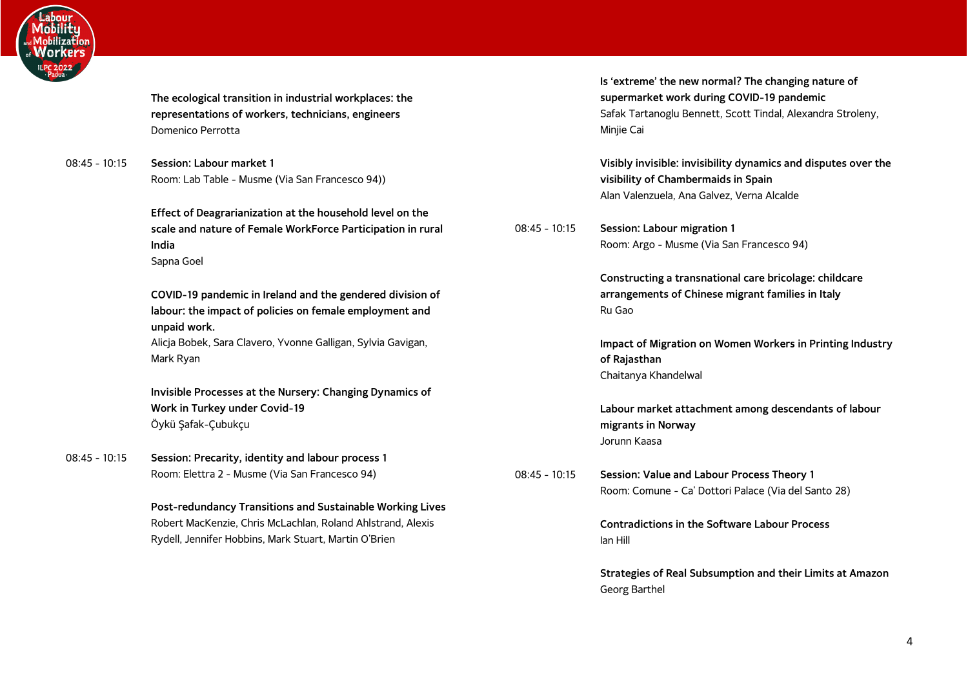

**The ecological transition in industrial workplaces: the representations of workers, technicians, engineers** Domenico Perrotta

08:45 - 10:15 **Session: Labour market 1** Room: Lab Table - Musme (Via San Francesco 94))

> **Effect of Deagrarianization at the household level on the scale and nature of Female WorkForce Participation in rural India** Sapna Goel

**COVID-19 pandemic in Ireland and the gendered division of labour: the impact of policies on female employment and unpaid work.**

Alicja Bobek, Sara Clavero, Yvonne Galligan, Sylvia Gavigan, Mark Ryan

**Invisible Processes at the Nursery: Changing Dynamics of Work in Turkey under Covid-19** Öykü Şafak-Çubukçu

08:45 - 10:15 **Session: Precarity, identity and labour process 1** Room: Elettra 2 - Musme (Via San Francesco 94)

> **Post-redundancy Transitions and Sustainable Working Lives** Robert MacKenzie, Chris McLachlan, Roland Ahlstrand, Alexis Rydell, Jennifer Hobbins, Mark Stuart, Martin O'Brien

**Is 'extreme' the new normal? The changing nature of supermarket work during COVID-19 pandemic** Safak Tartanoglu Bennett, Scott Tindal, Alexandra Stroleny, Minjie Cai

**Visibly invisible: invisibility dynamics and disputes over the visibility of Chambermaids in Spain** Alan Valenzuela, Ana Galvez, Verna Alcalde

08:45 - 10:15 **Session: Labour migration 1** Room: Argo - Musme (Via San Francesco 94)

> **Constructing a transnational care bricolage: childcare arrangements of Chinese migrant families in Italy** Ru Gao

**Impact of Migration on Women Workers in Printing Industry of Rajasthan** Chaitanya Khandelwal

**Labour market attachment among descendants of labour migrants in Norway** Jorunn Kaasa

08:45 - 10:15 **Session: Value and Labour Process Theory 1** Room: Comune - Ca' Dottori Palace (Via del Santo 28)

> **Contradictions in the Software Labour Process** Ian Hill

**Strategies of Real Subsumption and their Limits at Amazon** Georg Barthel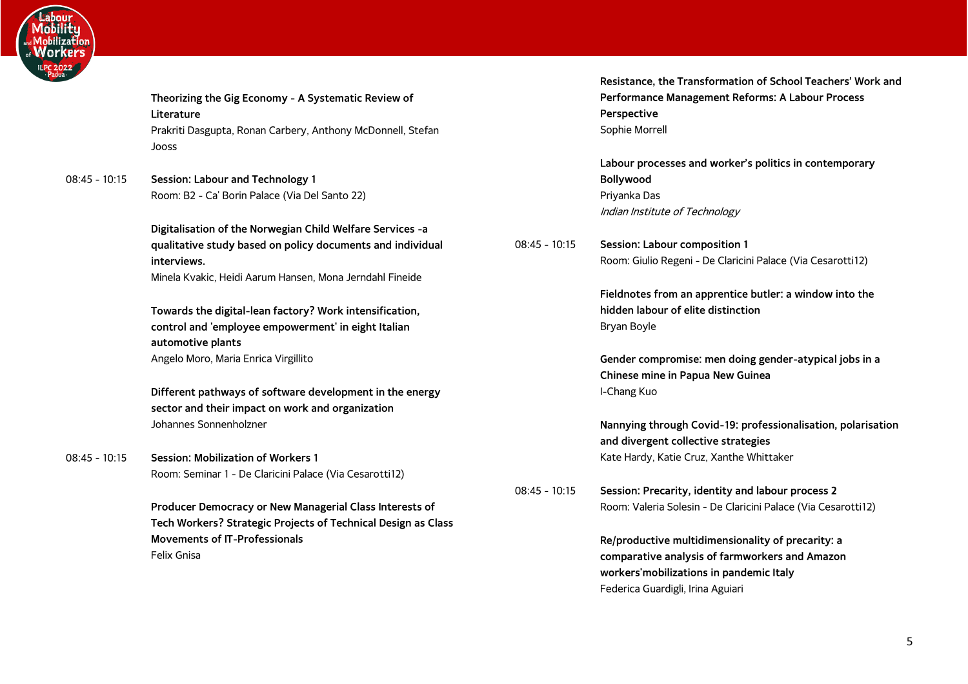

**Theorizing the Gig Economy - A Systematic Review of Literature** Prakriti Dasgupta, Ronan Carbery, Anthony McDonnell, Stefan Jooss

08:45 - 10:15 **Session: Labour and Technology 1** Room: B2 - Ca' Borin Palace (Via Del Santo 22)

> **Digitalisation of the Norwegian Child Welfare Services -a qualitative study based on policy documents and individual interviews.**

Minela Kvakic, Heidi Aarum Hansen, Mona Jerndahl Fineide

**Towards the digital-lean factory? Work intensification, control and 'employee empowerment' in eight Italian automotive plants** Angelo Moro, Maria Enrica Virgillito

**Different pathways of software development in the energy sector and their impact on work and organization** Johannes Sonnenholzner

08:45 - 10:15 **Session: Mobilization of Workers 1** Room: Seminar 1 - De Claricini Palace (Via Cesarotti12)

> **Producer Democracy or New Managerial Class Interests of Tech Workers? Strategic Projects of Technical Design as Class Movements of IT-Professionals** Felix Gnisa

**Resistance, the Transformation of School Teachers' Work and Performance Management Reforms: A Labour Process Perspective** Sophie Morrell

**Labour processes and worker's politics in contemporary Bollywood** Priyanka Das Indian Institute of Technology

08:45 - 10:15 **Session: Labour composition 1** Room: Giulio Regeni - De Claricini Palace (Via Cesarotti12)

> **Fieldnotes from an apprentice butler: a window into the hidden labour of elite distinction** Bryan Boyle

**Gender compromise: men doing gender-atypical jobs in a Chinese mine in Papua New Guinea** I-Chang Kuo

**Nannying through Covid-19: professionalisation, polarisation and divergent collective strategies** Kate Hardy, Katie Cruz, Xanthe Whittaker

08:45 - 10:15 **Session: Precarity, identity and labour process 2** Room: Valeria Solesin - De Claricini Palace (Via Cesarotti12)

> **Re/productive multidimensionality of precarity: a comparative analysis of farmworkers and Amazon workers'mobilizations in pandemic Italy** Federica Guardigli, Irina Aguiari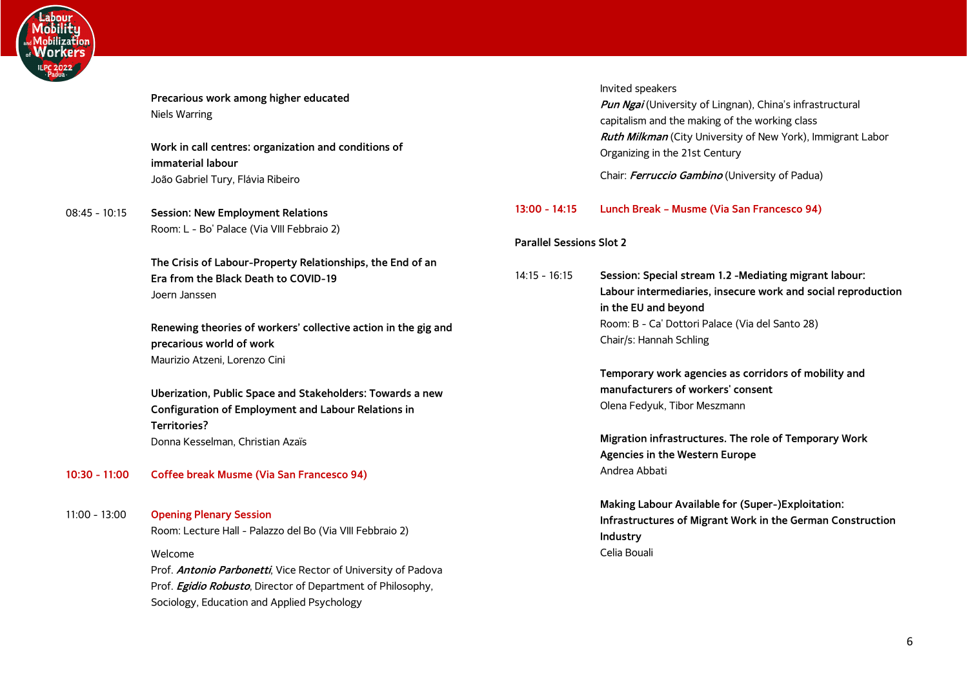

| Precarious work among higher educated |  |
|---------------------------------------|--|
| Niels Warring                         |  |

**Work in call centres: organization and conditions of immaterial labour** João Gabriel Tury, Flávia Ribeiro

08:45 - 10:15 **Session: New Employment Relations** Room: L - Bo' Palace (Via VIII Febbraio 2)

> **The Crisis of Labour-Property Relationships, the End of an Era from the Black Death to COVID-19** Joern Janssen

**Renewing theories of workers' collective action in the gig and precarious world of work** Maurizio Atzeni, Lorenzo Cini

**Uberization, Public Space and Stakeholders: Towards a new Configuration of Employment and Labour Relations in Territories?** Donna Kesselman, Christian Azaïs

**10:30 - 11:00 Coffee break Musme (Via San Francesco 94)**

11:00 - 13:00 **Opening Plenary Session** Room: Lecture Hall - Palazzo del Bo (Via VIII Febbraio 2) Welcome

> <span id="page-5-0"></span>Prof. **Antonio Parbonetti**, Vice Rector of University of Padova Prof. **Egidio Robusto**, Director of Department of Philosophy, Sociology, Education and Applied Psychology

#### Invited speakers

**Pun Ngai** (University of Lingnan), China's infrastructural capitalism and the making of the working class **Ruth Milkman** (City University of New York), Immigrant Labor Organizing in the 21st Century

Chair: **Ferruccio Gambino** (University of Padua)

#### **13:00 - 14:15 Lunch Break – Musme (Via San Francesco 94)**

#### <span id="page-5-1"></span>**Parallel Sessions Slot 2**

14:15 - 16:15 **Session: Special stream 1.2 -Mediating migrant labour: Labour intermediaries, insecure work and social reproduction in the EU and beyond** Room: B - Ca' Dottori Palace (Via del Santo 28) Chair/s: Hannah Schling

> **Temporary work agencies as corridors of mobility and manufacturers of workers' consent** Olena Fedyuk, Tibor Meszmann

**Migration infrastructures. The role of Temporary Work Agencies in the Western Europe** Andrea Abbati

**Making Labour Available for (Super-)Exploitation: Infrastructures of Migrant Work in the German Construction Industry** Celia Bouali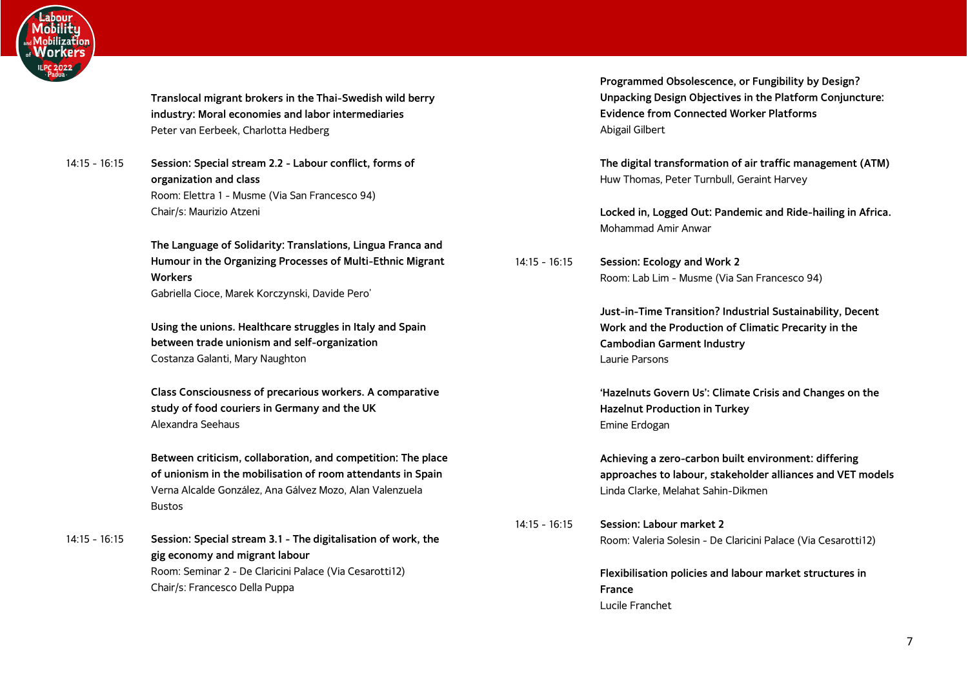

**Translocal migrant brokers in the Thai-Swedish wild berry industry: Moral economies and labor intermediaries** Peter van Eerbeek, Charlotta Hedberg

14:15 - 16:15 **Session: Special stream 2.2 - Labour conflict, forms of organization and class** Room: Elettra 1 - Musme (Via San Francesco 94) Chair/s: Maurizio Atzeni

> **The Language of Solidarity: Translations, Lingua Franca and Humour in the Organizing Processes of Multi-Ethnic Migrant Workers** Gabriella Cioce, Marek Korczynski, Davide Pero'

**Using the unions. Healthcare struggles in Italy and Spain between trade unionism and self-organization** Costanza Galanti, Mary Naughton

**Class Consciousness of precarious workers. A comparative study of food couriers in Germany and the UK** Alexandra Seehaus

**Between criticism, collaboration, and competition: The place of unionism in the mobilisation of room attendants in Spain** Verna Alcalde González, Ana Gálvez Mozo, Alan Valenzuela Bustos

14:15 - 16:15 **Session: Special stream 3.1 - The digitalisation of work, the gig economy and migrant labour** Room: Seminar 2 - De Claricini Palace (Via Cesarotti12) Chair/s: Francesco Della Puppa

**Programmed Obsolescence, or Fungibility by Design? Unpacking Design Objectives in the Platform Conjuncture: Evidence from Connected Worker Platforms** Abigail Gilbert

**The digital transformation of air traffic management (ATM)** Huw Thomas, Peter Turnbull, Geraint Harvey

**Locked in, Logged Out: Pandemic and Ride-hailing in Africa.** Mohammad Amir Anwar

14:15 - 16:15 **Session: Ecology and Work 2** Room: Lab Lim - Musme (Via San Francesco 94)

> **Just-in-Time Transition? Industrial Sustainability, Decent Work and the Production of Climatic Precarity in the Cambodian Garment Industry** Laurie Parsons

> **'Hazelnuts Govern Us': Climate Crisis and Changes on the Hazelnut Production in Turkey** Emine Erdogan

**Achieving a zero-carbon built environment: differing approaches to labour, stakeholder alliances and VET models** Linda Clarke, Melahat Sahin-Dikmen

14:15 - 16:15 **Session: Labour market 2** Room: Valeria Solesin - De Claricini Palace (Via Cesarotti12)

> **Flexibilisation policies and labour market structures in France** Lucile Franchet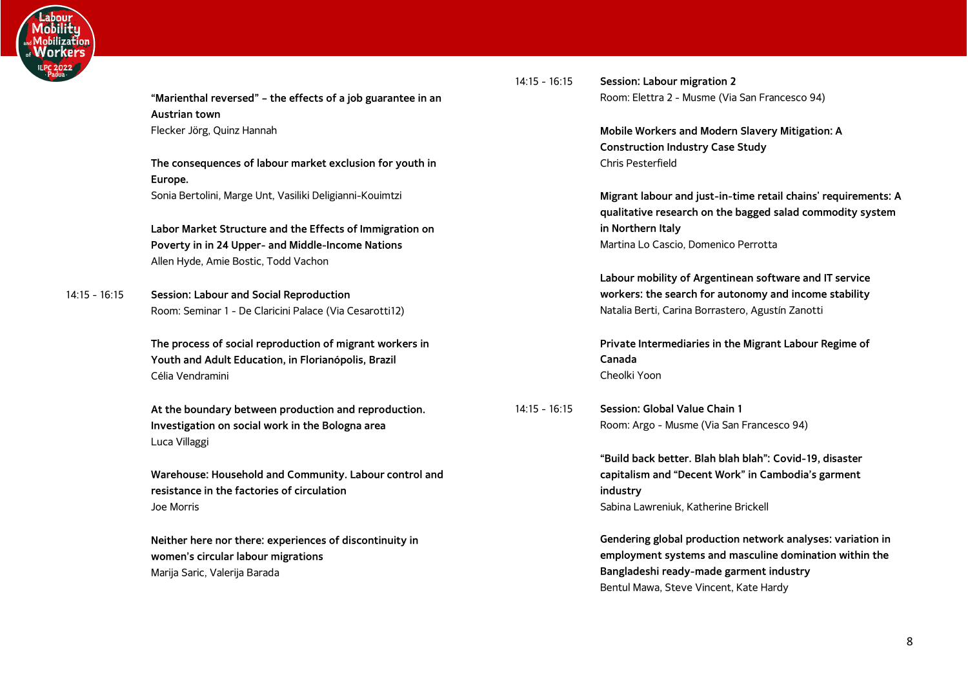

**"Marienthal reversed" – the effects of a job guarantee in an Austrian town** Flecker Jörg, Quinz Hannah

**The consequences of labour market exclusion for youth in Europe.** Sonia Bertolini, Marge Unt, Vasiliki Deligianni-Kouimtzi

**Labor Market Structure and the Effects of Immigration on Poverty in in 24 Upper- and Middle-Income Nations** Allen Hyde, Amie Bostic, Todd Vachon

14:15 - 16:15 **Session: Labour and Social Reproduction** Room: Seminar 1 - De Claricini Palace (Via Cesarotti12)

> **The process of social reproduction of migrant workers in Youth and Adult Education, in Florianópolis, Brazil** Célia Vendramini

**At the boundary between production and reproduction. Investigation on social work in the Bologna area** Luca Villaggi

**Warehouse: Household and Community. Labour control and resistance in the factories of circulation**  Joe Morris

**Neither here nor there: experiences of discontinuity in women's circular labour migrations** Marija Saric, Valerija Barada

14:15 - 16:15 **Session: Labour migration 2** Room: Elettra 2 - Musme (Via San Francesco 94)

> **Mobile Workers and Modern Slavery Mitigation: A Construction Industry Case Study** Chris Pesterfield

**Migrant labour and just-in-time retail chains' requirements: A qualitative research on the bagged salad commodity system in Northern Italy** Martina Lo Cascio, Domenico Perrotta

**Labour mobility of Argentinean software and IT service workers: the search for autonomy and income stability** Natalia Berti, Carina Borrastero, Agustín Zanotti

**Private Intermediaries in the Migrant Labour Regime of Canada** Cheolki Yoon

14:15 - 16:15 **Session: Global Value Chain 1** Room: Argo - Musme (Via San Francesco 94)

> **"Build back better. Blah blah blah": Covid-19, disaster capitalism and "Decent Work" in Cambodia's garment industry** Sabina Lawreniuk, Katherine Brickell

**Gendering global production network analyses: variation in employment systems and masculine domination within the Bangladeshi ready-made garment industry** Bentul Mawa, Steve Vincent, Kate Hardy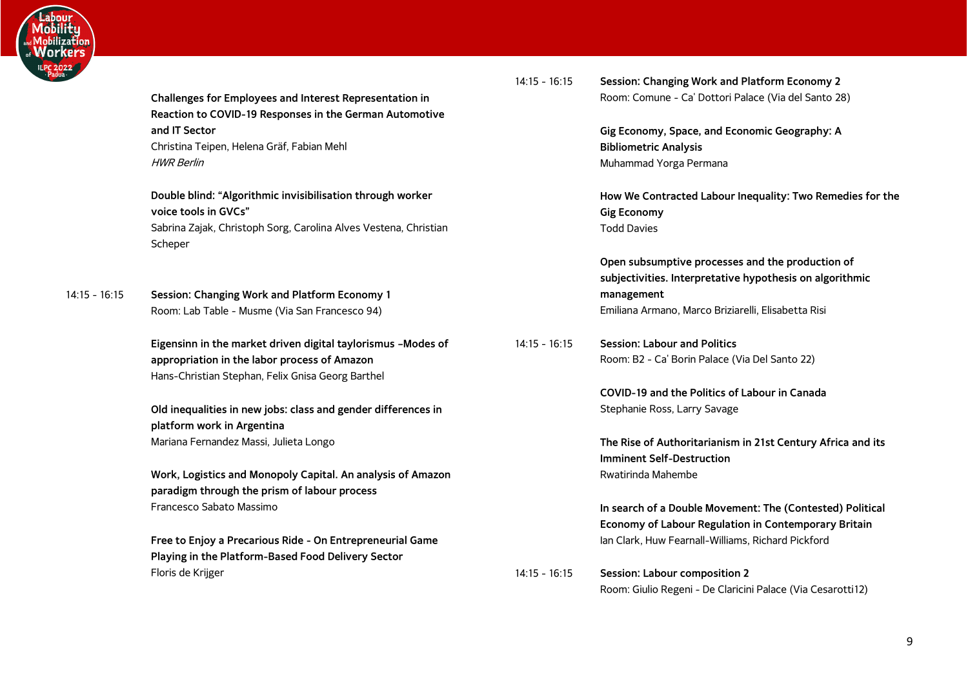

**Challenges for Employees and Interest Representation in Reaction to COVID-19 Responses in the German Automotive and IT Sector** Christina Teipen, Helena Gräf, Fabian Mehl HWR Berlin

**Double blind: "Algorithmic invisibilisation through worker voice tools in GVCs"** Sabrina Zajak, Christoph Sorg, Carolina Alves Vestena, Christian Scheper

14:15 - 16:15 **Session: Changing Work and Platform Economy 1** Room: Lab Table - Musme (Via San Francesco 94)

> **Eigensinn in the market driven digital taylorismus –Modes of appropriation in the labor process of Amazon** Hans-Christian Stephan, Felix Gnisa Georg Barthel

**Old inequalities in new jobs: class and gender differences in platform work in Argentina** Mariana Fernandez Massi, Julieta Longo

**Work, Logistics and Monopoly Capital. An analysis of Amazon paradigm through the prism of labour process** Francesco Sabato Massimo

**Free to Enjoy a Precarious Ride - On Entrepreneurial Game Playing in the Platform-Based Food Delivery Sector** Floris de Krijger

14:15 - 16:15 **Session: Changing Work and Platform Economy 2** Room: Comune - Ca' Dottori Palace (Via del Santo 28)

> **Gig Economy, Space, and Economic Geography: A Bibliometric Analysis** Muhammad Yorga Permana

**How We Contracted Labour Inequality: Two Remedies for the Gig Economy** Todd Davies

**Open subsumptive processes and the production of subjectivities. Interpretative hypothesis on algorithmic management** Emiliana Armano, Marco Briziarelli, Elisabetta Risi

14:15 - 16:15 **Session: Labour and Politics** Room: B2 - Ca' Borin Palace (Via Del Santo 22)

> **COVID-19 and the Politics of Labour in Canada** Stephanie Ross, Larry Savage

**The Rise of Authoritarianism in 21st Century Africa and its Imminent Self-Destruction** Rwatirinda Mahembe

**In search of a Double Movement: The (Contested) Political Economy of Labour Regulation in Contemporary Britain** Ian Clark, Huw Fearnall-Williams, Richard Pickford

14:15 - 16:15 **Session: Labour composition 2** Room: Giulio Regeni - De Claricini Palace (Via Cesarotti12)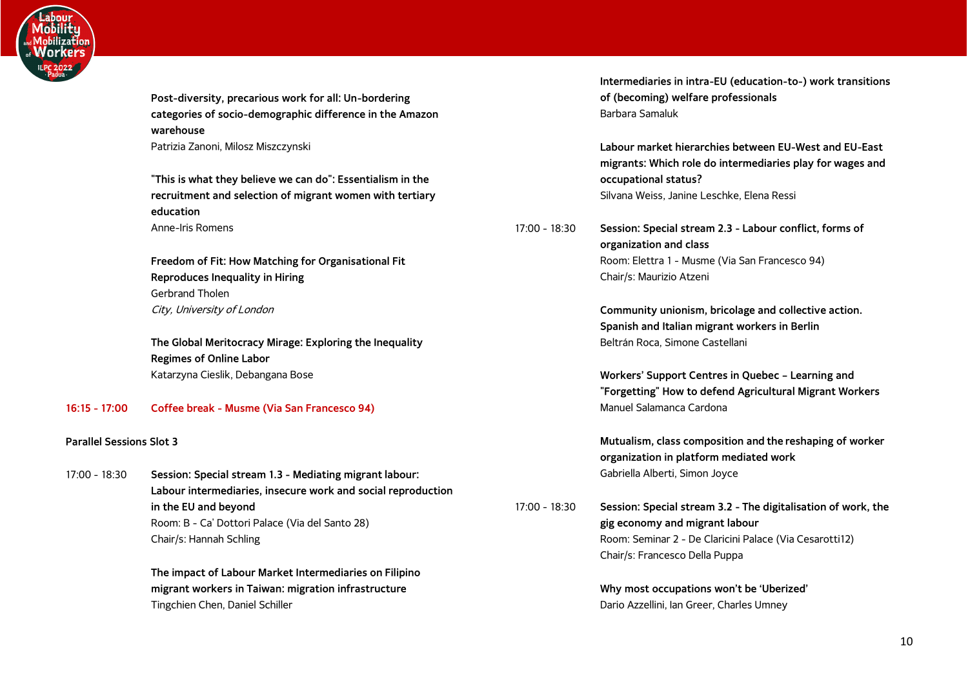

**Post-diversity, precarious work for all: Un-bordering categories of socio-demographic difference in the Amazon warehouse** Patrizia Zanoni, Milosz Miszczynski

**"This is what they believe we can do": Essentialism in the recruitment and selection of migrant women with tertiary education** Anne-Iris Romens

**Freedom of Fit: How Matching for Organisational Fit Reproduces Inequality in Hiring** Gerbrand Tholen City, University of London

**The Global Meritocracy Mirage: Exploring the Inequality Regimes of Online Labor** Katarzyna Cieslik, Debangana Bose

# **16:15 - 17:00 Coffee break - Musme (Via San Francesco 94)**

# <span id="page-9-0"></span>**Parallel Sessions Slot 3**

17:00 - 18:30 **Session: Special stream 1.3 - Mediating migrant labour: Labour intermediaries, insecure work and social reproduction in the EU and beyond** Room: B - Ca' Dottori Palace (Via del Santo 28) Chair/s: Hannah Schling

> **The impact of Labour Market Intermediaries on Filipino migrant workers in Taiwan: migration infrastructure** Tingchien Chen, Daniel Schiller

**Intermediaries in intra-EU (education-to-) work transitions of (becoming) welfare professionals** Barbara Samaluk

**Labour market hierarchies between EU-West and EU-East migrants: Which role do intermediaries play for wages and occupational status?** Silvana Weiss, Janine Leschke, Elena Ressi

17:00 - 18:30 **Session: Special stream 2.3 - Labour conflict, forms of organization and class** Room: Elettra 1 - Musme (Via San Francesco 94) Chair/s: Maurizio Atzeni

> **Community unionism, bricolage and collective action. Spanish and Italian migrant workers in Berlin** Beltrán Roca, Simone Castellani

**Workers' Support Centres in Quebec – Learning and "Forgetting" How to defend Agricultural Migrant Workers** Manuel Salamanca Cardona

**Mutualism, class composition and the reshaping of worker organization in platform mediated work** Gabriella Alberti, Simon Joyce

17:00 - 18:30 **Session: Special stream 3.2 - The digitalisation of work, the gig economy and migrant labour** Room: Seminar 2 - De Claricini Palace (Via Cesarotti12) Chair/s: Francesco Della Puppa

> **Why most occupations won't be 'Uberized'** Dario Azzellini, Ian Greer, Charles Umney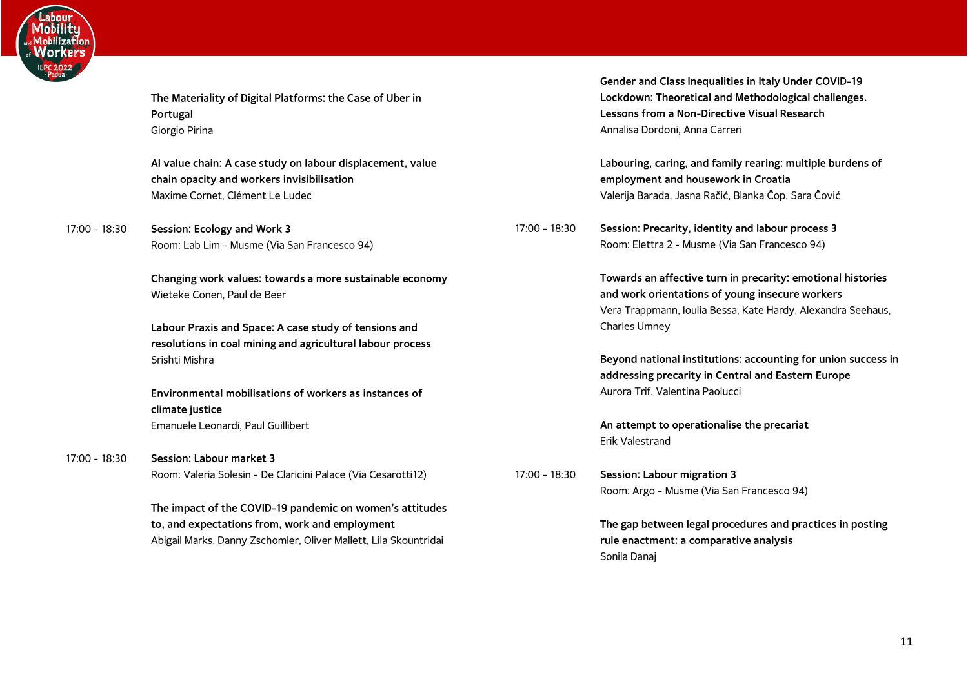

**The Materiality of Digital Platforms: the Case of Uber in Portugal** Giorgio Pirina

**AI value chain: A case study on labour displacement, value chain opacity and workers invisibilisation** Maxime Cornet, Clément Le Ludec

17:00 - 18:30 **Session: Ecology and Work 3** Room: Lab Lim - Musme (Via San Francesco 94)

> **Changing work values: towards a more sustainable economy** Wieteke Conen, Paul de Beer

**Labour Praxis and Space: A case study of tensions and resolutions in coal mining and agricultural labour process** Srishti Mishra

**Environmental mobilisations of workers as instances of climate justice** Emanuele Leonardi, Paul Guillibert

17:00 - 18:30 **Session: Labour market 3** Room: Valeria Solesin - De Claricini Palace (Via Cesarotti12)

> **The impact of the COVID-19 pandemic on women's attitudes to, and expectations from, work and employment** Abigail Marks, Danny Zschomler, Oliver Mallett, Lila Skountridai

**Gender and Class Inequalities in Italy Under COVID-19 Lockdown: Theoretical and Methodological challenges. Lessons from a Non-Directive Visual Research** Annalisa Dordoni, Anna Carreri

**Labouring, caring, and family rearing: multiple burdens of employment and housework in Croatia** Valerija Barada, Jasna Račić, Blanka Čop, Sara Čović

17:00 - 18:30 **Session: Precarity, identity and labour process 3** Room: Elettra 2 - Musme (Via San Francesco 94)

> **Towards an affective turn in precarity: emotional histories and work orientations of young insecure workers** Vera Trappmann, Ioulia Bessa, Kate Hardy, Alexandra Seehaus, Charles Umney

**Beyond national institutions: accounting for union success in addressing precarity in Central and Eastern Europe** Aurora Trif, Valentina Paolucci

**An attempt to operationalise the precariat** Erik Valestrand

17:00 - 18:30 **Session: Labour migration 3** Room: Argo - Musme (Via San Francesco 94)

> **The gap between legal procedures and practices in posting rule enactment: a comparative analysis** Sonila Danaj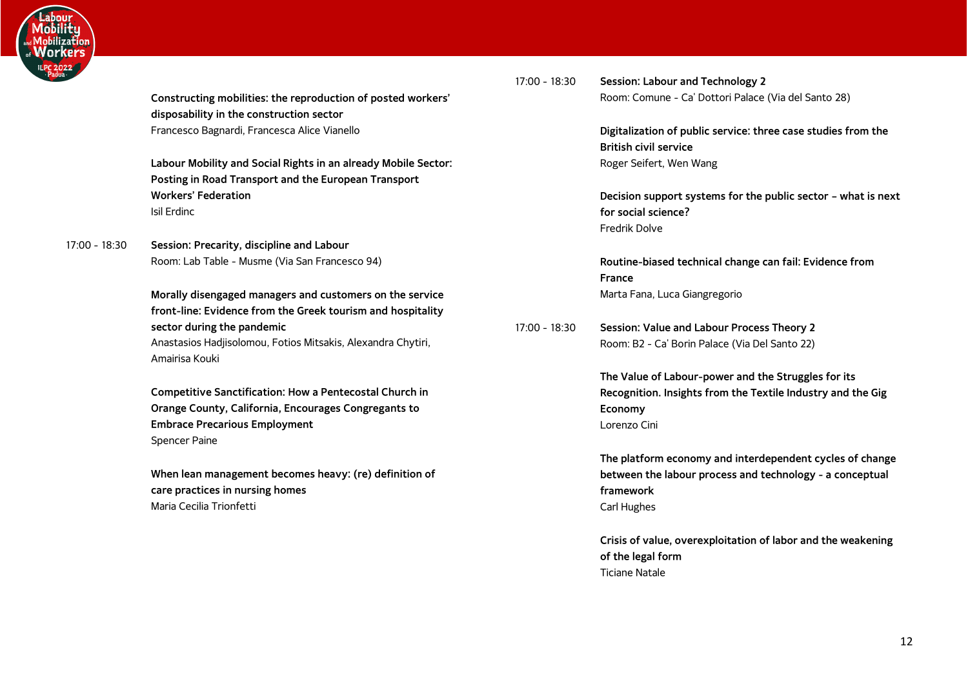

**Constructing mobilities: the reproduction of posted workers' disposability in the construction sector** Francesco Bagnardi, Francesca Alice Vianello

**Labour Mobility and Social Rights in an already Mobile Sector: Posting in Road Transport and the European Transport Workers' Federation** Isil Erdinc

17:00 - 18:30 **Session: Precarity, discipline and Labour** Room: Lab Table - Musme (Via San Francesco 94)

> **Morally disengaged managers and customers on the service front-line: Evidence from the Greek tourism and hospitality sector during the pandemic** Anastasios Hadjisolomou, Fotios Mitsakis, Alexandra Chytiri, Amairisa Kouki

**Competitive Sanctification: How a Pentecostal Church in Orange County, California, Encourages Congregants to Embrace Precarious Employment**

Spencer Paine

**When lean management becomes heavy: (re) definition of care practices in nursing homes** Maria Cecilia Trionfetti

17:00 - 18:30 **Session: Labour and Technology 2** Room: Comune - Ca' Dottori Palace (Via del Santo 28)

> **Digitalization of public service: three case studies from the British civil service** Roger Seifert, Wen Wang

**Decision support systems for the public sector – what is next for social science?** Fredrik Dolve

**Routine-biased technical change can fail: Evidence from France** Marta Fana, Luca Giangregorio

17:00 - 18:30 **Session: Value and Labour Process Theory 2** Room: B2 - Ca' Borin Palace (Via Del Santo 22)

> **The Value of Labour-power and the Struggles for its Recognition. Insights from the Textile Industry and the Gig Economy** Lorenzo Cini

**The platform economy and interdependent cycles of change between the labour process and technology - a conceptual framework** Carl Hughes

**Crisis of value, overexploitation of labor and the weakening of the legal form** Ticiane Natale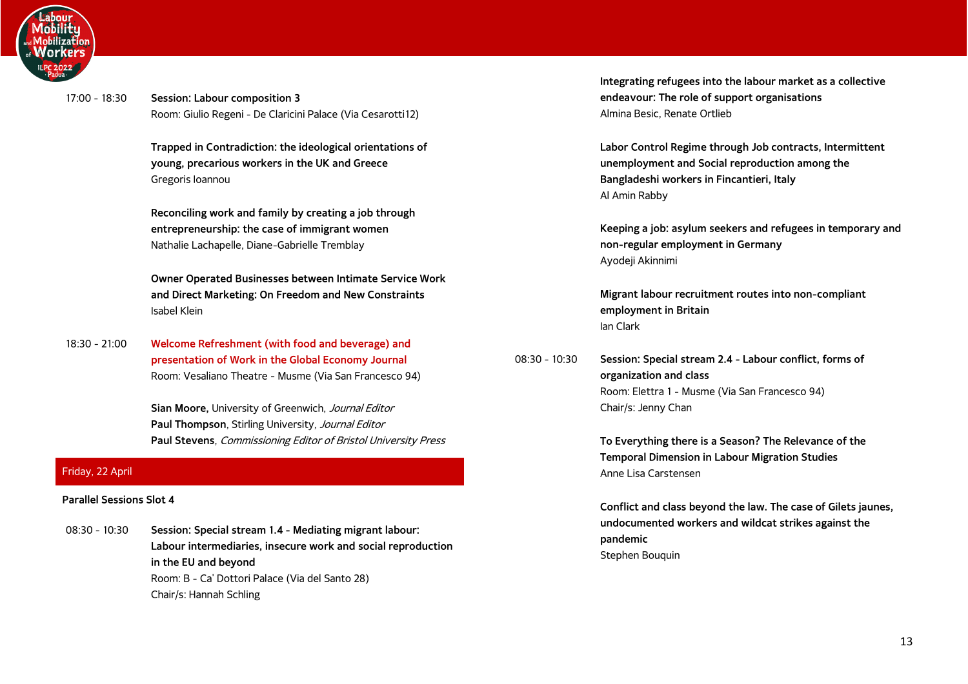

17:00 - 18:30 **Session: Labour composition 3** Room: Giulio Regeni - De Claricini Palace (Via Cesarotti12)

> **Trapped in Contradiction: the ideological orientations of young, precarious workers in the UK and Greece** Gregoris Ioannou

**Reconciling work and family by creating a job through entrepreneurship: the case of immigrant women** Nathalie Lachapelle, Diane-Gabrielle Tremblay

<span id="page-12-0"></span>**Owner Operated Businesses between Intimate Service Work and Direct Marketing: On Freedom and New Constraints** Isabel Klein

18:30 - 21:00 **Welcome Refreshment (with food and beverage) and presentation of Work in the Global Economy Journal** Room: Vesaliano Theatre - Musme (Via San Francesco 94)

> **Sian Moore,** University of Greenwich, Journal Editor **Paul Thompson**, Stirling University, Journal Editor **Paul Stevens**, Commissioning Editor of Bristol University Press

# <span id="page-12-1"></span>Friday, 22 April

#### <span id="page-12-2"></span>**Parallel Sessions Slot 4**

08:30 - 10:30 **Session: Special stream 1.4 - Mediating migrant labour: Labour intermediaries, insecure work and social reproduction in the EU and beyond** Room: B - Ca' Dottori Palace (Via del Santo 28) Chair/s: Hannah Schling

**Integrating refugees into the labour market as a collective endeavour: The role of support organisations** Almina Besic, Renate Ortlieb

**Labor Control Regime through Job contracts, Intermittent unemployment and Social reproduction among the Bangladeshi workers in Fincantieri, Italy** Al Amin Rabby

**Keeping a job: asylum seekers and refugees in temporary and non-regular employment in Germany** Ayodeji Akinnimi

**Migrant labour recruitment routes into non-compliant employment in Britain** Ian Clark

08:30 - 10:30 **Session: Special stream 2.4 - Labour conflict, forms of organization and class** Room: Elettra 1 - Musme (Via San Francesco 94) Chair/s: Jenny Chan

> **To Everything there is a Season? The Relevance of the Temporal Dimension in Labour Migration Studies** Anne Lisa Carstensen

**Conflict and class beyond the law. The case of Gilets jaunes, undocumented workers and wildcat strikes against the pandemic** Stephen Bouquin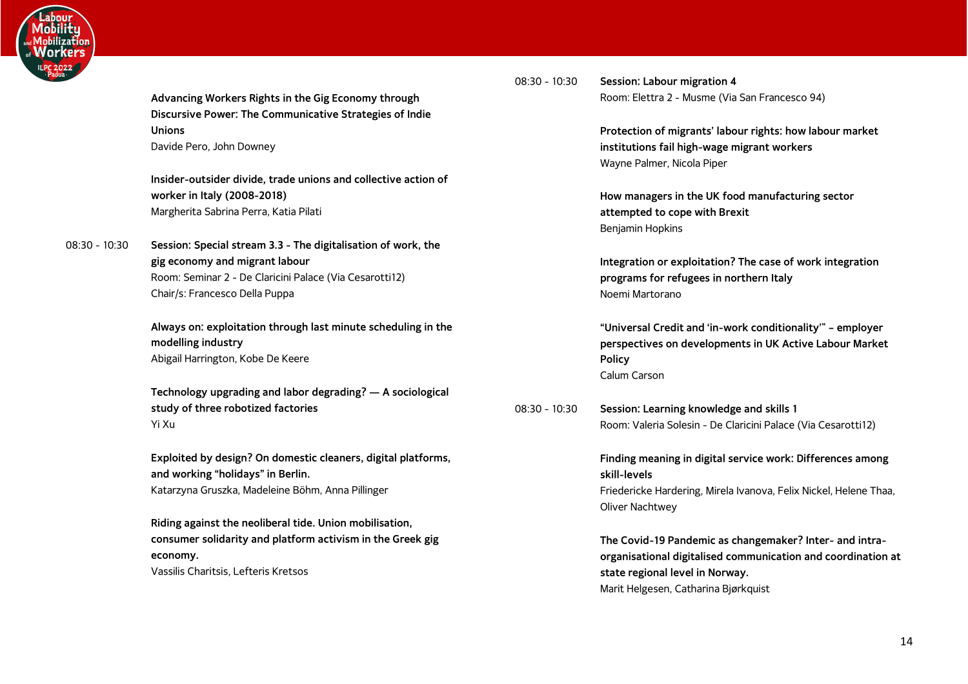

**Advancing Workers Rights in the Gig Economy through Discursive Power: The Communicative Strategies of Indie Unions** Davide Pero, John Downey

**Insider-outsider divide, trade unions and collective action of worker in Italy (2008-2018)** Margherita Sabrina Perra, Katia Pilati

08:30 - 10:30 **Session: Special stream 3.3 - The digitalisation of work, the gig economy and migrant labour** Room: Seminar 2 - De Claricini Palace (Via Cesarotti12) Chair/s: Francesco Della Puppa

> **Always on: exploitation through last minute scheduling in the modelling industry** Abigail Harrington, Kobe De Keere

> **Technology upgrading and labor degrading? — A sociological study of three robotized factories** Yi Xu

> **Exploited by design? On domestic cleaners, digital platforms, and working "holidays" in Berlin.** Katarzyna Gruszka, Madeleine Böhm, Anna Pillinger

**Riding against the neoliberal tide. Union mobilisation, consumer solidarity and platform activism in the Greek gig economy.** Vassilis Charitsis, Lefteris Kretsos

08:30 - 10:30 **Session: Labour migration 4** Room: Elettra 2 - Musme (Via San Francesco 94)

> **Protection of migrants' labour rights: how labour market institutions fail high-wage migrant workers** Wayne Palmer, Nicola Piper

**How managers in the UK food manufacturing sector attempted to cope with Brexit** Benjamin Hopkins

**Integration or exploitation? The case of work integration programs for refugees in northern Italy** Noemi Martorano

**"Universal Credit and 'in-work conditionality'" – employer perspectives on developments in UK Active Labour Market Policy** Calum Carson

08:30 - 10:30 **Session: Learning knowledge and skills 1** Room: Valeria Solesin - De Claricini Palace (Via Cesarotti12)

> **Finding meaning in digital service work: Differences among skill-levels**

Friedericke Hardering, Mirela Ivanova, Felix Nickel, Helene Thaa, Oliver Nachtwey

**The Covid-19 Pandemic as changemaker? Inter- and intraorganisational digitalised communication and coordination at state regional level in Norway.** Marit Helgesen, Catharina Bjørkquist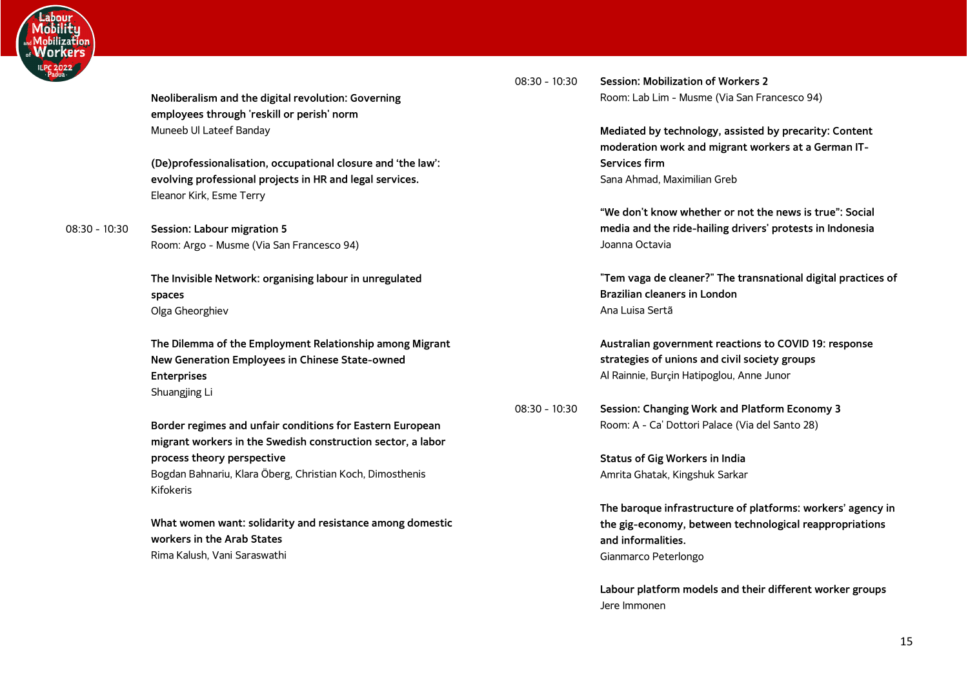

**Neoliberalism and the digital revolution: Governing employees through 'reskill or perish' norm** Muneeb Ul Lateef Banday

**(De)professionalisation, occupational closure and 'the law': evolving professional projects in HR and legal services.** Eleanor Kirk, Esme Terry

08:30 - 10:30 **Session: Labour migration 5** Room: Argo - Musme (Via San Francesco 94)

> **The Invisible Network: organising labour in unregulated spaces** Olga Gheorghiev

**The Dilemma of the Employment Relationship among Migrant New Generation Employees in Chinese State-owned Enterprises** Shuangjing Li

**Border regimes and unfair conditions for Eastern European migrant workers in the Swedish construction sector, a labor process theory perspective** Bogdan Bahnariu, Klara Öberg, Christian Koch, Dimosthenis Kifokeris

**What women want: solidarity and resistance among domestic workers in the Arab States** Rima Kalush, Vani Saraswathi

08:30 - 10:30 **Session: Mobilization of Workers 2** Room: Lab Lim - Musme (Via San Francesco 94)

> **Mediated by technology, assisted by precarity: Content moderation work and migrant workers at a German IT-Services firm** Sana Ahmad, Maximilian Greb

> **"We don't know whether or not the news is true": Social media and the ride-hailing drivers' protests in Indonesia** Joanna Octavia

**"Tem vaga de cleaner?" The transnational digital practices of Brazilian cleaners in London** Ana Luisa Sertã

**Australian government reactions to COVID 19: response strategies of unions and civil society groups** Al Rainnie, Burҫin Hatipoglou, Anne Junor

08:30 - 10:30 **Session: Changing Work and Platform Economy 3** Room: A - Ca' Dottori Palace (Via del Santo 28)

> **Status of Gig Workers in India** Amrita Ghatak, Kingshuk Sarkar

**The baroque infrastructure of platforms: workers' agency in the gig-economy, between technological reappropriations and informalities.** Gianmarco Peterlongo

**Labour platform models and their different worker groups** Jere Immonen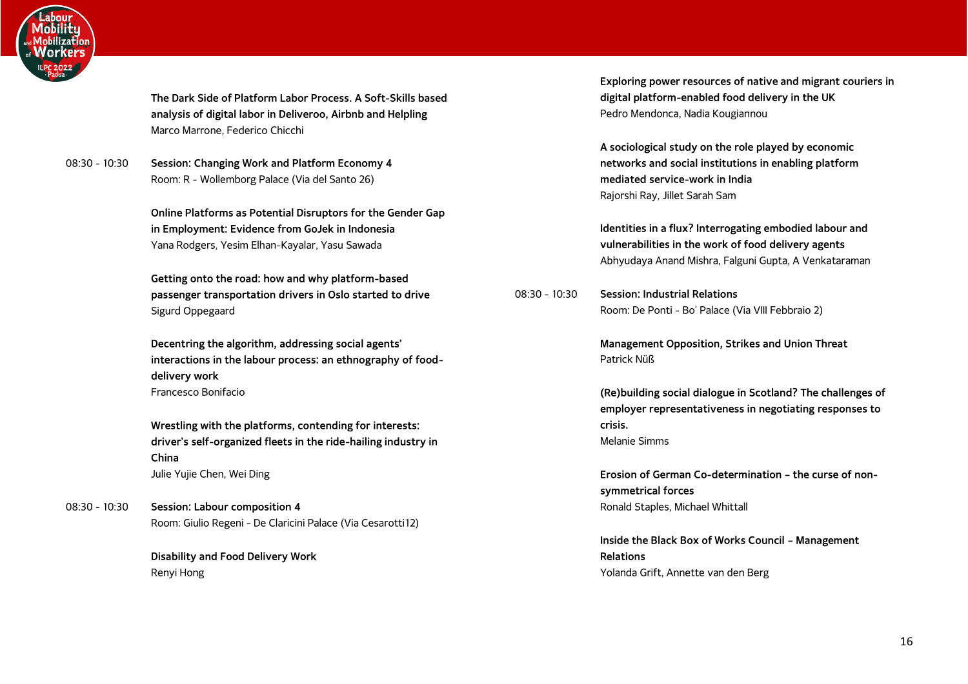

**The Dark Side of Platform Labor Process. A Soft-Skills based analysis of digital labor in Deliveroo, Airbnb and Helpling** Marco Marrone, Federico Chicchi

08:30 - 10:30 **Session: Changing Work and Platform Economy 4** Room: R - Wollemborg Palace (Via del Santo 26)

> **Online Platforms as Potential Disruptors for the Gender Gap in Employment: Evidence from GoJek in Indonesia** Yana Rodgers, Yesim Elhan-Kayalar, Yasu Sawada

**Getting onto the road: how and why platform-based passenger transportation drivers in Oslo started to drive** Sigurd Oppegaard

**Decentring the algorithm, addressing social agents' interactions in the labour process: an ethnography of fooddelivery work** Francesco Bonifacio

**Wrestling with the platforms, contending for interests: driver's self-organized fleets in the ride-hailing industry in China** Julie Yujie Chen, Wei Ding

08:30 - 10:30 **Session: Labour composition 4** Room: Giulio Regeni - De Claricini Palace (Via Cesarotti12)

> **Disability and Food Delivery Work** Renyi Hong

**Exploring power resources of native and migrant couriers in digital platform-enabled food delivery in the UK** Pedro Mendonca, Nadia Kougiannou

**A sociological study on the role played by economic networks and social institutions in enabling platform mediated service-work in India** Rajorshi Ray, Jillet Sarah Sam

**Identities in a flux? Interrogating embodied labour and vulnerabilities in the work of food delivery agents** Abhyudaya Anand Mishra, Falguni Gupta, A Venkataraman

08:30 - 10:30 **Session: Industrial Relations** Room: De Ponti - Bo' Palace (Via VIII Febbraio 2)

> **Management Opposition, Strikes and Union Threat** Patrick Nüß

**(Re)building social dialogue in Scotland? The challenges of employer representativeness in negotiating responses to crisis.** Melanie Simms

**Erosion of German Co-determination – the curse of nonsymmetrical forces** Ronald Staples, Michael Whittall

**Inside the Black Box of Works Council – Management Relations** Yolanda Grift, Annette van den Berg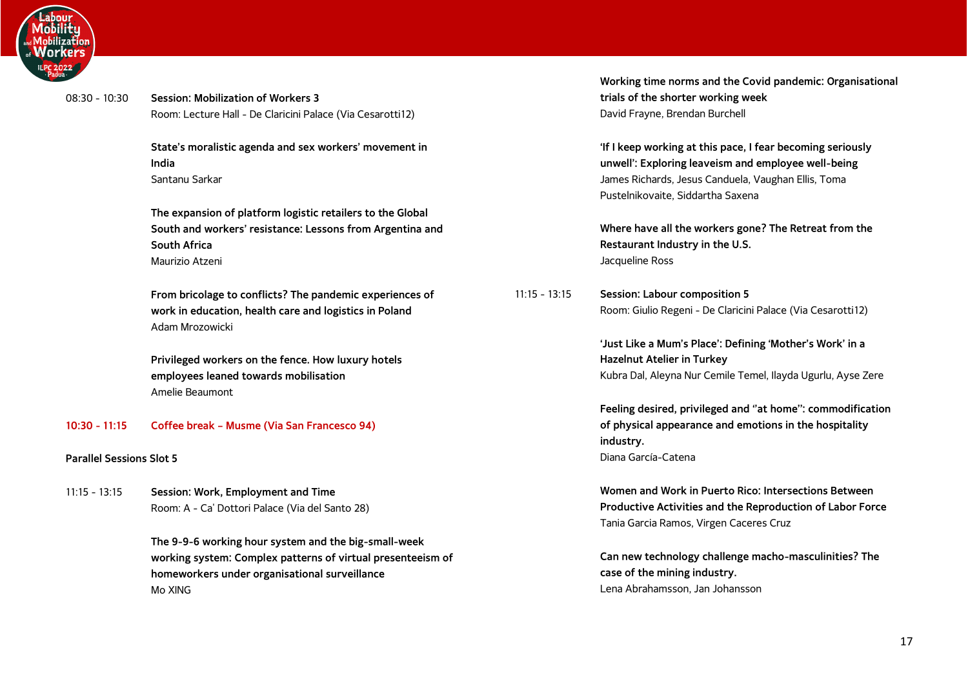

08:30 - 10:30 **Session: Mobilization of Workers 3** Room: Lecture Hall - De Claricini Palace (Via Cesarotti12)

> **State's moralistic agenda and sex workers' movement in India** Santanu Sarkar

**The expansion of platform logistic retailers to the Global South and workers' resistance: Lessons from Argentina and South Africa** Maurizio Atzeni

**From bricolage to conflicts? The pandemic experiences of work in education, health care and logistics in Poland** Adam Mrozowicki

**Privileged workers on the fence. How luxury hotels employees leaned towards mobilisation** Amelie Beaumont

**10:30 - 11:15 Coffee break – Musme (Via San Francesco 94)**

#### <span id="page-16-0"></span>**Parallel Sessions Slot 5**

11:15 - 13:15 **Session: Work, Employment and Time** Room: A - Ca' Dottori Palace (Via del Santo 28)

> **The 9-9-6 working hour system and the big-small-week working system: Complex patterns of virtual presenteeism of homeworkers under organisational surveillance** Mo XING

**Working time norms and the Covid pandemic: Organisational trials of the shorter working week** David Frayne, Brendan Burchell

**'If I keep working at this pace, I fear becoming seriously unwell': Exploring leaveism and employee well-being** James Richards, Jesus Canduela, Vaughan Ellis, Toma Pustelnikovaite, Siddartha Saxena

**Where have all the workers gone? The Retreat from the Restaurant Industry in the U.S.** Jacqueline Ross

11:15 - 13:15 **Session: Labour composition 5** Room: Giulio Regeni - De Claricini Palace (Via Cesarotti12)

> **'Just Like a Mum's Place': Defining 'Mother's Work' in a Hazelnut Atelier in Turkey** Kubra Dal, Aleyna Nur Cemile Temel, Ilayda Ugurlu, Ayse Zere

**Feeling desired, privileged and ''at home'': commodification of physical appearance and emotions in the hospitality industry.** Diana García-Catena

**Women and Work in Puerto Rico: Intersections Between Productive Activities and the Reproduction of Labor Force** Tania Garcia Ramos, Virgen Caceres Cruz

**Can new technology challenge macho-masculinities? The case of the mining industry.** Lena Abrahamsson, Jan Johansson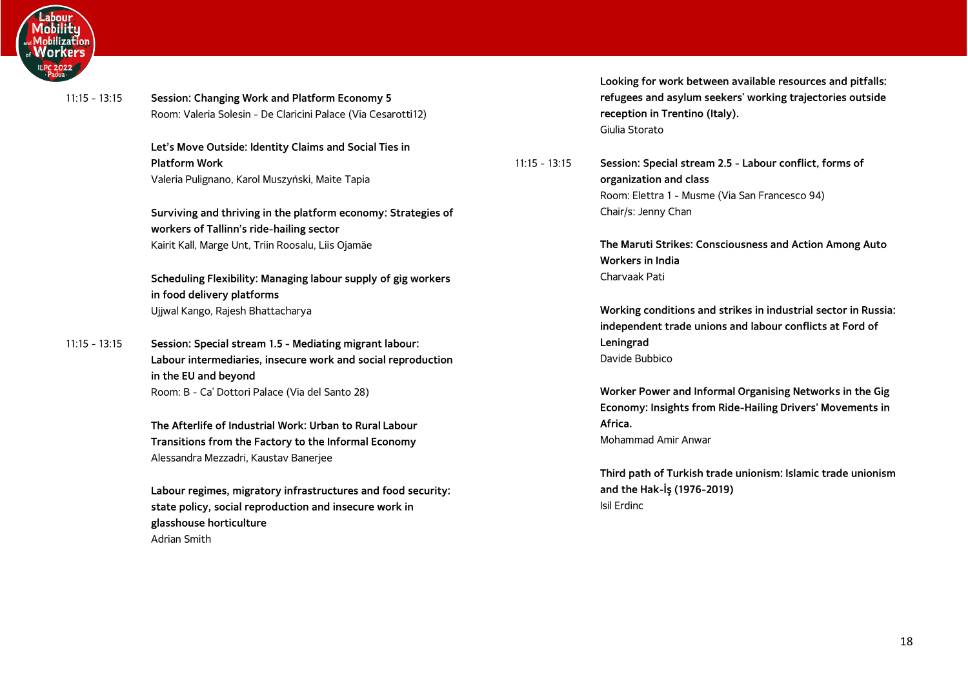

11:15 - 13:15 **Session: Changing Work and Platform Economy 5** Room: Valeria Solesin - De Claricini Palace (Via Cesarotti12)

> **Let's Move Outside: Identity Claims and Social Ties in Platform Work** Valeria Pulignano, Karol Muszyński, Maite Tapia

**Surviving and thriving in the platform economy: Strategies of workers of Tallinn's ride-hailing sector** Kairit Kall, Marge Unt, Triin Roosalu, Liis Ojamäe

**Scheduling Flexibility: Managing labour supply of gig workers in food delivery platforms** Ujjwal Kango, Rajesh Bhattacharya

11:15 - 13:15 **Session: Special stream 1.5 - Mediating migrant labour: Labour intermediaries, insecure work and social reproduction in the EU and beyond** Room: B - Ca' Dottori Palace (Via del Santo 28)

> **The Afterlife of Industrial Work: Urban to Rural Labour Transitions from the Factory to the Informal Economy** Alessandra Mezzadri, Kaustav Banerjee

**Labour regimes, migratory infrastructures and food security: state policy, social reproduction and insecure work in glasshouse horticulture** Adrian Smith

**Looking for work between available resources and pitfalls: refugees and asylum seekers' working trajectories outside reception in Trentino (Italy).** Giulia Storato

11:15 - 13:15 **Session: Special stream 2.5 - Labour conflict, forms of organization and class** Room: Elettra 1 - Musme (Via San Francesco 94) Chair/s: Jenny Chan

> **The Maruti Strikes: Consciousness and Action Among Auto Workers in India** Charvaak Pati

**Working conditions and strikes in industrial sector in Russia: independent trade unions and labour conflicts at Ford of Leningrad** Davide Bubbico

**Worker Power and Informal Organising Networks in the Gig Economy: Insights from Ride-Hailing Drivers' Movements in Africa.** Mohammad Amir Anwar

**Third path of Turkish trade unionism: Islamic trade unionism and the Hak-İş (1976-2019)** Isil Erdinc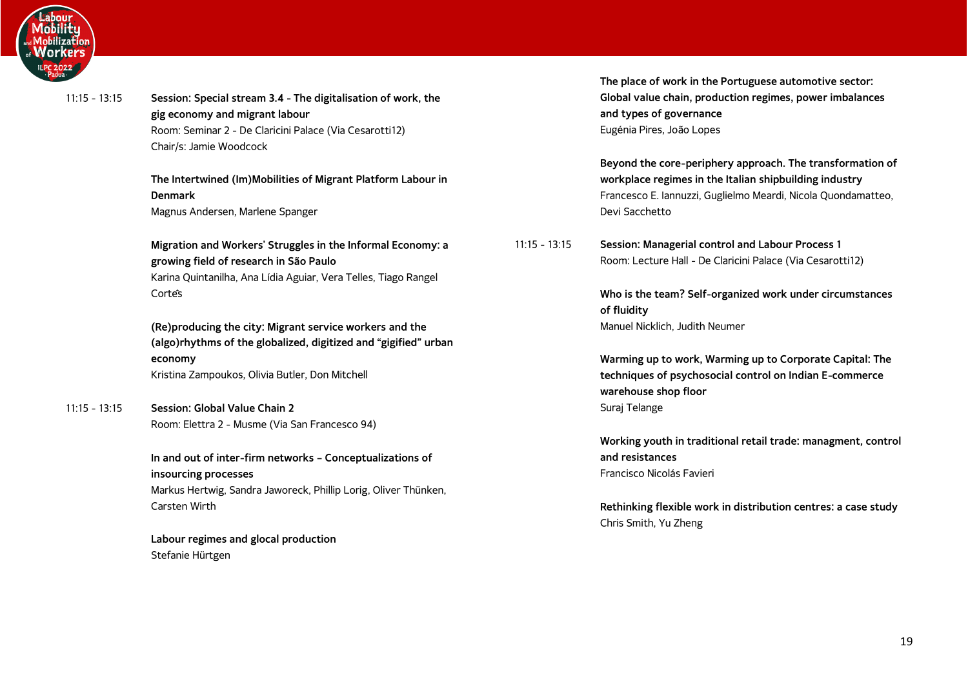

11:15 - 13:15 **Session: Special stream 3.4 - The digitalisation of work, the gig economy and migrant labour** Room: Seminar 2 - De Claricini Palace (Via Cesarotti12) Chair/s: Jamie Woodcock

> **The Intertwined (Im)Mobilities of Migrant Platform Labour in Denmark** Magnus Andersen, Marlene Spanger

> **Migration and Workers' Struggles in the Informal Economy: a growing field of research in São Paulo** Karina Quintanilha, Ana Lídia Aguiar, Vera Telles, Tiago Rangel Cortês

**(Re)producing the city: Migrant service workers and the (algo)rhythms of the globalized, digitized and "gigified" urban economy** Kristina Zampoukos, Olivia Butler, Don Mitchell

11:15 - 13:15 **Session: Global Value Chain 2** Room: Elettra 2 - Musme (Via San Francesco 94)

> **In and out of inter-firm networks – Conceptualizations of insourcing processes** Markus Hertwig, Sandra Jaworeck, Phillip Lorig, Oliver Thünken, Carsten Wirth

**Labour regimes and glocal production** Stefanie Hürtgen

**The place of work in the Portuguese automotive sector: Global value chain, production regimes, power imbalances and types of governance** Eugénia Pires, João Lopes

**Beyond the core-periphery approach. The transformation of workplace regimes in the Italian shipbuilding industry** Francesco E. Iannuzzi, Guglielmo Meardi, Nicola Quondamatteo, Devi Sacchetto

11:15 - 13:15 **Session: Managerial control and Labour Process 1** Room: Lecture Hall - De Claricini Palace (Via Cesarotti12)

> **Who is the team? Self-organized work under circumstances of fluidity** Manuel Nicklich, Judith Neumer

> **Warming up to work, Warming up to Corporate Capital: The techniques of psychosocial control on Indian E-commerce warehouse shop floor** Suraj Telange

**Working youth in traditional retail trade: managment, control and resistances** Francisco Nicolás Favieri

**Rethinking flexible work in distribution centres: a case study** Chris Smith, Yu Zheng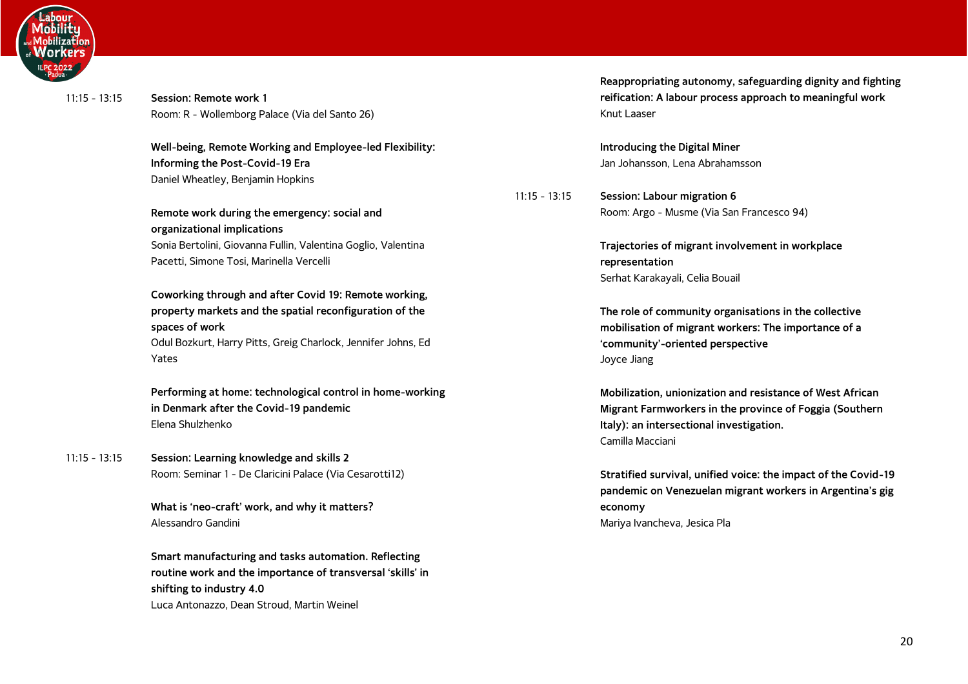

11:15 - 13:15 **Session: Remote work 1** Room: R - Wollemborg Palace (Via del Santo 26)

> **Well-being, Remote Working and Employee-led Flexibility: Informing the Post-Covid-19 Era** Daniel Wheatley, Benjamin Hopkins

**Remote work during the emergency: social and organizational implications** Sonia Bertolini, Giovanna Fullin, Valentina Goglio, Valentina Pacetti, Simone Tosi, Marinella Vercelli

**Coworking through and after Covid 19: Remote working, property markets and the spatial reconfiguration of the spaces of work** Odul Bozkurt, Harry Pitts, Greig Charlock, Jennifer Johns, Ed Yates

**Performing at home: technological control in home-working in Denmark after the Covid-19 pandemic** Elena Shulzhenko

11:15 - 13:15 **Session: Learning knowledge and skills 2** Room: Seminar 1 - De Claricini Palace (Via Cesarotti12)

> **What is 'neo-craft' work, and why it matters?** Alessandro Gandini

**Smart manufacturing and tasks automation. Reflecting routine work and the importance of transversal 'skills' in shifting to industry 4.0** Luca Antonazzo, Dean Stroud, Martin Weinel

**Reappropriating autonomy, safeguarding dignity and fighting reification: A labour process approach to meaningful work** Knut Laaser

**Introducing the Digital Miner** Jan Johansson, Lena Abrahamsson

11:15 - 13:15 **Session: Labour migration 6** Room: Argo - Musme (Via San Francesco 94)

> **Trajectories of migrant involvement in workplace representation** Serhat Karakayali, Celia Bouail

**The role of community organisations in the collective mobilisation of migrant workers: The importance of a 'community'-oriented perspective** Joyce Jiang

**Mobilization, unionization and resistance of West African Migrant Farmworkers in the province of Foggia (Southern Italy): an intersectional investigation.** Camilla Macciani

**Stratified survival, unified voice: the impact of the Covid-19 pandemic on Venezuelan migrant workers in Argentina's gig economy** Mariya Ivancheva, Jesica Pla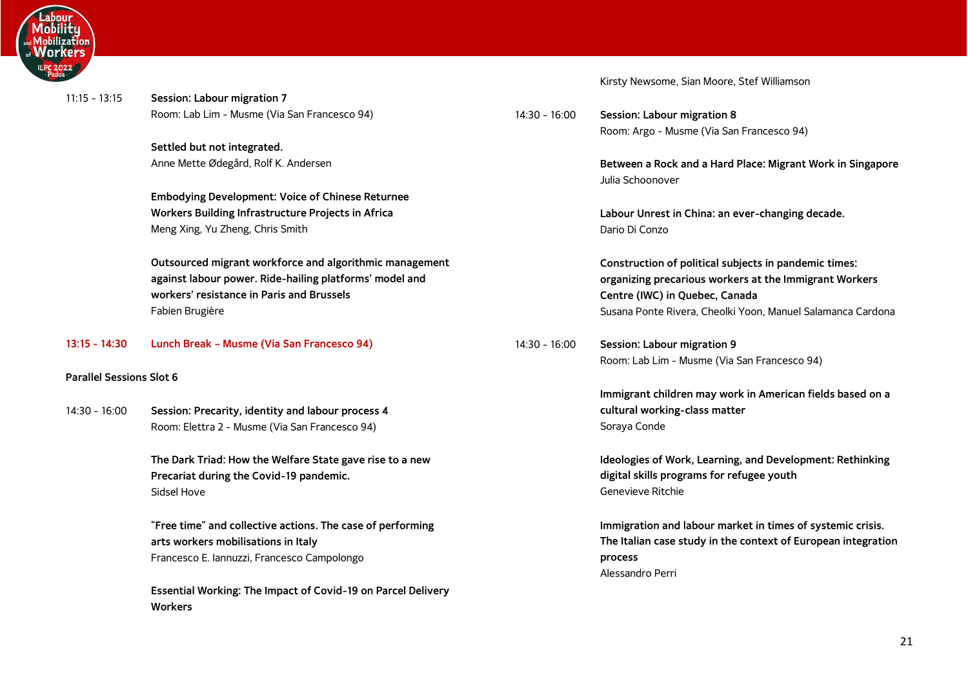

<span id="page-20-0"></span>**Workers**

|                                 |                                                              |                 | Kirsty Newsome, Sian Moore, Stef Williamson                                     |
|---------------------------------|--------------------------------------------------------------|-----------------|---------------------------------------------------------------------------------|
| $11:15 - 13:15$                 | <b>Session: Labour migration 7</b>                           |                 |                                                                                 |
|                                 | Room: Lab Lim - Musme (Via San Francesco 94)                 | $14:30 - 16:00$ | <b>Session: Labour migration 8</b><br>Room: Argo - Musme (Via San Francesco 94) |
|                                 | Settled but not integrated.                                  |                 |                                                                                 |
|                                 | Anne Mette Ødegård, Rolf K. Andersen                         |                 | Between a Rock and a Hard Place: Migrant Work in Singapore<br>Julia Schoonover  |
|                                 | <b>Embodying Development: Voice of Chinese Returnee</b>      |                 |                                                                                 |
|                                 | Workers Building Infrastructure Projects in Africa           |                 | Labour Unrest in China: an ever-changing decade.                                |
|                                 | Meng Xing, Yu Zheng, Chris Smith                             |                 | Dario Di Conzo                                                                  |
|                                 | Outsourced migrant workforce and algorithmic management      |                 | Construction of political subjects in pandemic times:                           |
|                                 | against labour power. Ride-hailing platforms' model and      |                 | organizing precarious workers at the Immigrant Workers                          |
|                                 | workers' resistance in Paris and Brussels                    |                 | Centre (IWC) in Quebec, Canada                                                  |
|                                 | Fabien Brugière                                              |                 | Susana Ponte Rivera, Cheolki Yoon, Manuel Salamanca Cardona                     |
| $13:15 - 14:30$                 | Lunch Break - Musme (Via San Francesco 94)                   | $14:30 - 16:00$ | <b>Session: Labour migration 9</b>                                              |
|                                 |                                                              |                 | Room: Lab Lim - Musme (Via San Francesco 94)                                    |
| <b>Parallel Sessions Slot 6</b> |                                                              |                 |                                                                                 |
|                                 |                                                              |                 | Immigrant children may work in American fields based on a                       |
| 14:30 - 16:00                   | Session: Precarity, identity and labour process 4            |                 | cultural working-class matter                                                   |
|                                 | Room: Elettra 2 - Musme (Via San Francesco 94)               |                 | Soraya Conde                                                                    |
|                                 | The Dark Triad: How the Welfare State gave rise to a new     |                 | Ideologies of Work, Learning, and Development: Rethinking                       |
|                                 | Precariat during the Covid-19 pandemic.                      |                 | digital skills programs for refugee youth                                       |
|                                 | Sidsel Hove                                                  |                 | Genevieve Ritchie                                                               |
|                                 | "Free time" and collective actions. The case of performing   |                 | Immigration and labour market in times of systemic crisis.                      |
|                                 | arts workers mobilisations in Italy                          |                 | The Italian case study in the context of European integration                   |
|                                 | Francesco E. Iannuzzi, Francesco Campolongo                  |                 | process                                                                         |
|                                 |                                                              |                 | Alessandro Perri                                                                |
|                                 | Essential Working: The Impact of Covid-19 on Parcel Delivery |                 |                                                                                 |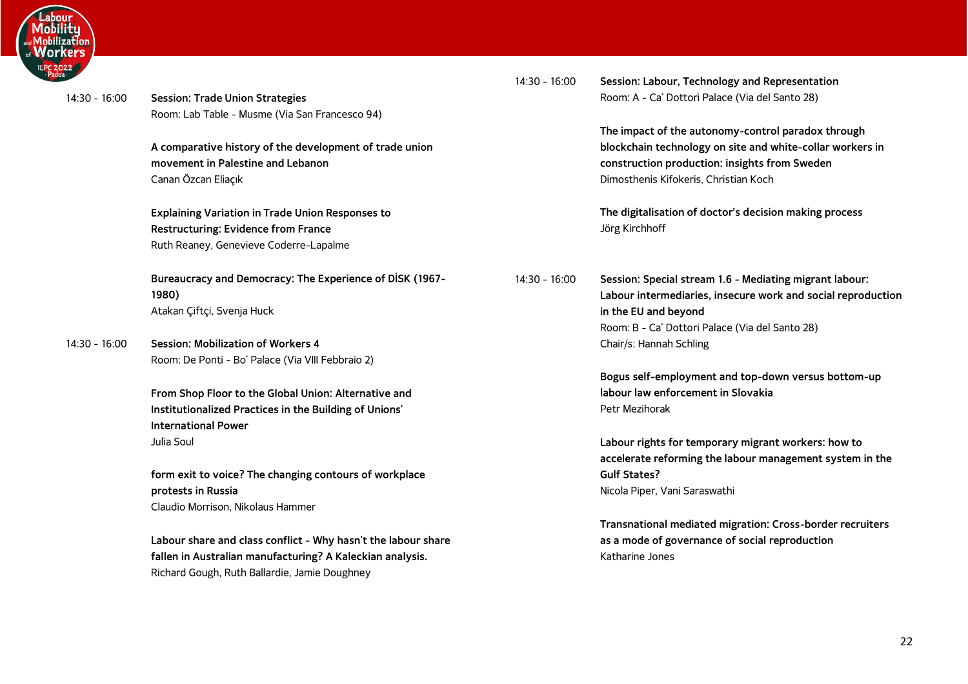

14:30 - 16:00 **Session: Trade Union Strategies** Room: Lab Table - Musme (Via San Francesco 94)

> **A comparative history of the development of trade union movement in Palestine and Lebanon** Canan Özcan Eliaçık

**Explaining Variation in Trade Union Responses to Restructuring: Evidence from France** Ruth Reaney, Genevieve Coderre-Lapalme

**Bureaucracy and Democracy: The Experience of DİSK (1967- 1980)** Atakan Çiftçi, Svenja Huck

14:30 - 16:00 **Session: Mobilization of Workers 4** Room: De Ponti - Bo' Palace (Via VIII Febbraio 2)

> **From Shop Floor to the Global Union: Alternative and Institutionalized Practices in the Building of Unions' International Power** Julia Soul

**form exit to voice? The changing contours of workplace protests in Russia** Claudio Morrison, Nikolaus Hammer

**Labour share and class conflict - Why hasn't the labour share fallen in Australian manufacturing? A Kaleckian analysis.** Richard Gough, Ruth Ballardie, Jamie Doughney

14:30 - 16:00 **Session: Labour, Technology and Representation** Room: A - Ca' Dottori Palace (Via del Santo 28)

> **The impact of the autonomy-control paradox through blockchain technology on site and white-collar workers in construction production: insights from Sweden** Dimosthenis Kifokeris, Christian Koch

**The digitalisation of doctor's decision making process** Jörg Kirchhoff

14:30 - 16:00 **Session: Special stream 1.6 - Mediating migrant labour: Labour intermediaries, insecure work and social reproduction in the EU and beyond** Room: B - Ca' Dottori Palace (Via del Santo 28) Chair/s: Hannah Schling

> **Bogus self-employment and top-down versus bottom-up labour law enforcement in Slovakia** Petr Mezihorak

**Labour rights for temporary migrant workers: how to accelerate reforming the labour management system in the Gulf States?** Nicola Piper, Vani Saraswathi

**Transnational mediated migration: Cross-border recruiters as a mode of governance of social reproduction** Katharine Jones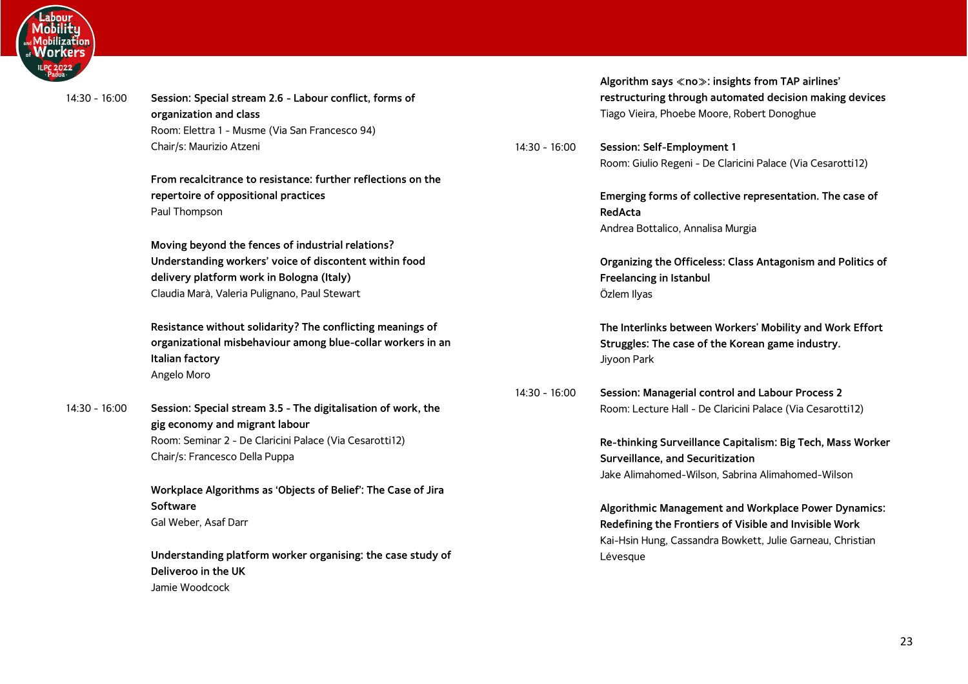

14:30 - 16:00 **Session: Special stream 2.6 - Labour conflict, forms of organization and class** Room: Elettra 1 - Musme (Via San Francesco 94) Chair/s: Maurizio Atzeni

> **From recalcitrance to resistance: further reflections on the repertoire of oppositional practices** Paul Thompson

**Moving beyond the fences of industrial relations? Understanding workers' voice of discontent within food delivery platform work in Bologna (Italy)** Claudia Marà, Valeria Pulignano, Paul Stewart

**Resistance without solidarity? The conflicting meanings of organizational misbehaviour among blue-collar workers in an Italian factory** Angelo Moro

14:30 - 16:00 **Session: Special stream 3.5 - The digitalisation of work, the gig economy and migrant labour** Room: Seminar 2 - De Claricini Palace (Via Cesarotti12) Chair/s: Francesco Della Puppa

> **Workplace Algorithms as 'Objects of Belief': The Case of Jira Software** Gal Weber, Asaf Darr

**Understanding platform worker organising: the case study of Deliveroo in the UK** Jamie Woodcock

**Algorithm says «no»: insights from TAP airlines' restructuring through automated decision making devices** Tiago Vieira, Phoebe Moore, Robert Donoghue

14:30 - 16:00 **Session: Self-Employment 1** Room: Giulio Regeni - De Claricini Palace (Via Cesarotti12)

> **Emerging forms of collective representation. The case of RedActa** Andrea Bottalico, Annalisa Murgia

**Organizing the Officeless: Class Antagonism and Politics of Freelancing in Istanbul** Özlem Ilyas

**The Interlinks between Workers' Mobility and Work Effort Struggles: The case of the Korean game industry.** Jiyoon Park

14:30 - 16:00 **Session: Managerial control and Labour Process 2** Room: Lecture Hall - De Claricini Palace (Via Cesarotti12)

> **Re-thinking Surveillance Capitalism: Big Tech, Mass Worker Surveillance, and Securitization** Jake Alimahomed-Wilson, Sabrina Alimahomed-Wilson

**Algorithmic Management and Workplace Power Dynamics: Redefining the Frontiers of Visible and Invisible Work** Kai-Hsin Hung, Cassandra Bowkett, Julie Garneau, Christian **Lévesque**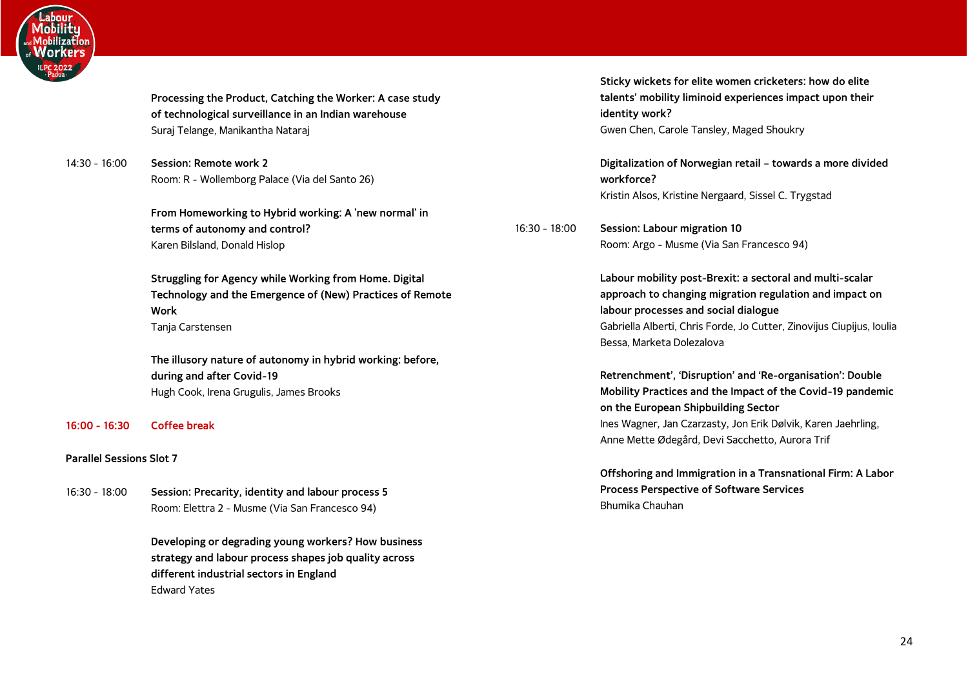

**Processing the Product, Catching the Worker: A case study of technological surveillance in an Indian warehouse** Suraj Telange, Manikantha Nataraj

14:30 - 16:00 **Session: Remote work 2** Room: R - Wollemborg Palace (Via del Santo 26)

> **From Homeworking to Hybrid working: A 'new normal' in terms of autonomy and control?** Karen Bilsland, Donald Hislop

**Struggling for Agency while Working from Home. Digital Technology and the Emergence of (New) Practices of Remote Work** Tanja Carstensen

**The illusory nature of autonomy in hybrid working: before, during and after Covid-19** Hugh Cook, Irena Grugulis, James Brooks

**16:00 - 16:30 Coffee break**

#### <span id="page-23-0"></span>**Parallel Sessions Slot 7**

16:30 - 18:00 **Session: Precarity, identity and labour process 5** Room: Elettra 2 - Musme (Via San Francesco 94)

> **Developing or degrading young workers? How business strategy and labour process shapes job quality across different industrial sectors in England** Edward Yates

**Sticky wickets for elite women cricketers: how do elite talents' mobility liminoid experiences impact upon their identity work?** Gwen Chen, Carole Tansley, Maged Shoukry

**Digitalization of Norwegian retail – towards a more divided workforce?** Kristin Alsos, Kristine Nergaard, Sissel C. Trygstad

16:30 - 18:00 **Session: Labour migration 10** Room: Argo - Musme (Via San Francesco 94)

> **Labour mobility post-Brexit: a sectoral and multi-scalar approach to changing migration regulation and impact on labour processes and social dialogue** Gabriella Alberti, Chris Forde, Jo Cutter, Zinovijus Ciupijus, Ioulia Bessa, Marketa Dolezalova

**Retrenchment', 'Disruption' and 'Re-organisation': Double Mobility Practices and the Impact of the Covid-19 pandemic on the European Shipbuilding Sector** Ines Wagner, Jan Czarzasty, Jon Erik Dølvik, Karen Jaehrling, Anne Mette Ødegård, Devi Sacchetto, Aurora Trif

**Offshoring and Immigration in a Transnational Firm: A Labor Process Perspective of Software Services** Bhumika Chauhan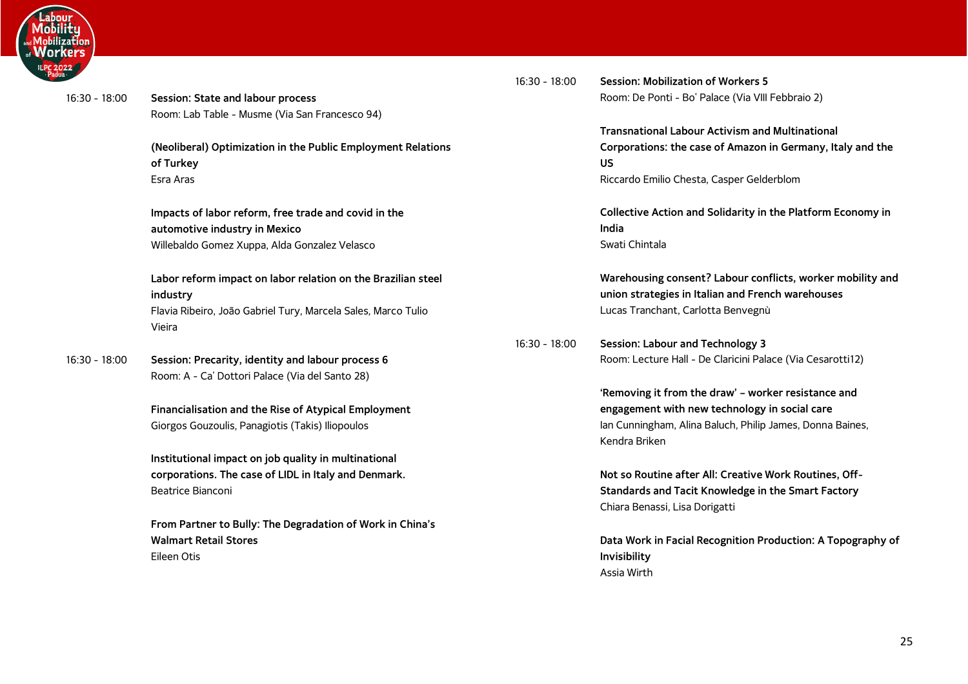

16:30 - 18:00 **Session: State and labour process** Room: Lab Table - Musme (Via San Francesco 94)

> **(Neoliberal) Optimization in the Public Employment Relations of Turkey**  Esra Aras

**Impacts of labor reform, free trade and covid in the automotive industry in Mexico** Willebaldo Gomez Xuppa, Alda Gonzalez Velasco

**Labor reform impact on labor relation on the Brazilian steel industry** Flavia Ribeiro, João Gabriel Tury, Marcela Sales, Marco Tulio Vieira

16:30 - 18:00 **Session: Precarity, identity and labour process 6** Room: A - Ca' Dottori Palace (Via del Santo 28)

> **Financialisation and the Rise of Atypical Employment** Giorgos Gouzoulis, Panagiotis (Takis) Iliopoulos

**Institutional impact on job quality in multinational corporations. The case of LIDL in Italy and Denmark.** Beatrice Bianconi

**From Partner to Bully: The Degradation of Work in China's Walmart Retail Stores** Eileen Otis

16:30 - 18:00 **Session: Mobilization of Workers 5** Room: De Ponti - Bo' Palace (Via VIII Febbraio 2)

> **Transnational Labour Activism and Multinational Corporations: the case of Amazon in Germany, Italy and the US** Riccardo Emilio Chesta, Casper Gelderblom

> **Collective Action and Solidarity in the Platform Economy in India** Swati Chintala

**Warehousing consent? Labour conflicts, worker mobility and union strategies in Italian and French warehouses** Lucas Tranchant, Carlotta Benvegnù

16:30 - 18:00 **Session: Labour and Technology 3** Room: Lecture Hall - De Claricini Palace (Via Cesarotti12)

> **'Removing it from the draw' – worker resistance and engagement with new technology in social care** Ian Cunningham, Alina Baluch, Philip James, Donna Baines, Kendra Briken

**Not so Routine after All: Creative Work Routines, Off-Standards and Tacit Knowledge in the Smart Factory** Chiara Benassi, Lisa Dorigatti

**Data Work in Facial Recognition Production: A Topography of Invisibility** Assia Wirth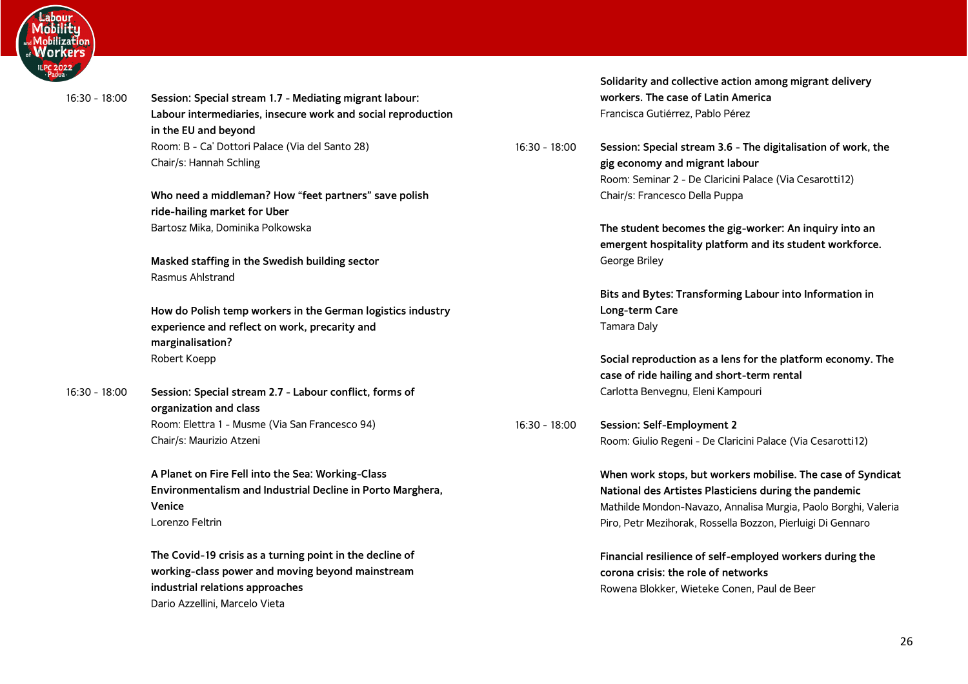

16:30 - 18:00 **Session: Special stream 1.7 - Mediating migrant labour: Labour intermediaries, insecure work and social reproduction in the EU and beyond** Room: B - Ca' Dottori Palace (Via del Santo 28) Chair/s: Hannah Schling

> **Who need a middleman? How "feet partners" save polish ride-hailing market for Uber** Bartosz Mika, Dominika Polkowska

**Masked staffing in the Swedish building sector** Rasmus Ahlstrand

**How do Polish temp workers in the German logistics industry experience and reflect on work, precarity and marginalisation?** Robert Koepp

16:30 - 18:00 **Session: Special stream 2.7 - Labour conflict, forms of organization and class** Room: Elettra 1 - Musme (Via San Francesco 94) Chair/s: Maurizio Atzeni

> **A Planet on Fire Fell into the Sea: Working-Class Environmentalism and Industrial Decline in Porto Marghera, Venice** Lorenzo Feltrin

**The Covid-19 crisis as a turning point in the decline of working-class power and moving beyond mainstream industrial relations approaches** Dario Azzellini, Marcelo Vieta

**Solidarity and collective action among migrant delivery workers. The case of Latin America** Francisca Gutiérrez, Pablo Pérez

16:30 - 18:00 **Session: Special stream 3.6 - The digitalisation of work, the gig economy and migrant labour** Room: Seminar 2 - De Claricini Palace (Via Cesarotti12) Chair/s: Francesco Della Puppa

> **The student becomes the gig-worker: An inquiry into an emergent hospitality platform and its student workforce.** George Briley

**Bits and Bytes: Transforming Labour into Information in Long-term Care** Tamara Daly

**Social reproduction as a lens for the platform economy. The case of ride hailing and short-term rental** Carlotta Benvegnu, Eleni Kampouri

16:30 - 18:00 **Session: Self-Employment 2** Room: Giulio Regeni - De Claricini Palace (Via Cesarotti12)

> **When work stops, but workers mobilise. The case of Syndicat National des Artistes Plasticiens during the pandemic** Mathilde Mondon-Navazo, Annalisa Murgia, Paolo Borghi, Valeria Piro, Petr Mezihorak, Rossella Bozzon, Pierluigi Di Gennaro

**Financial resilience of self-employed workers during the corona crisis: the role of networks** Rowena Blokker, Wieteke Conen, Paul de Beer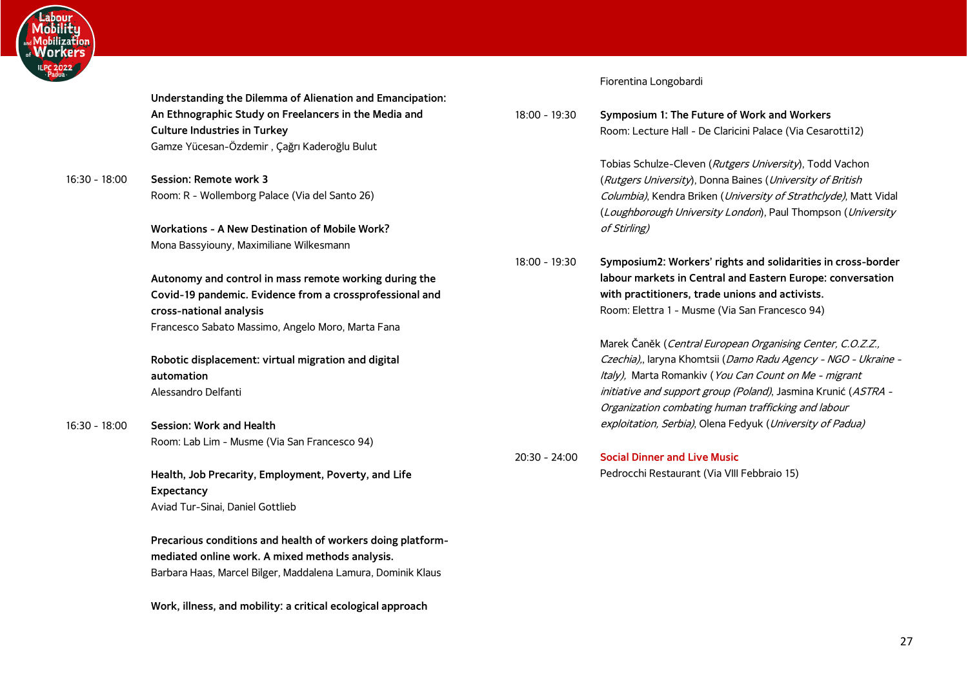

**Understanding the Dilemma of Alienation and Emancipation: An Ethnographic Study on Freelancers in the Media and Culture Industries in Turkey** Gamze Yücesan-Özdemir , Çağrı Kaderoğlu Bulut 16:30 - 18:00 **Session: Remote work 3** Room: R - Wollemborg Palace (Via del Santo 26) **Workations - A New Destination of Mobile Work?** Mona Bassyiouny, Maximiliane Wilkesmann **Autonomy and control in mass remote working during the Covid-19 pandemic. Evidence from a crossprofessional and cross-national analysis** Francesco Sabato Massimo, Angelo Moro, Marta Fana **Robotic displacement: virtual migration and digital automation** Alessandro Delfanti 16:30 - 18:00 **Session: Work and Health** Room: Lab Lim - Musme (Via San Francesco 94) **Health, Job Precarity, Employment, Poverty, and Life Expectancy** Aviad Tur-Sinai, Daniel Gottlieb **Precarious conditions and health of workers doing platformmediated online work. A mixed methods analysis.** Barbara Haas, Marcel Bilger, Maddalena Lamura, Dominik Klaus 18:00 - 19:30 **Symposium 1: The Future of Work and Workers** Room: Lecture Hall - De Claricini Palace (Via Cesarotti12) Tobias Schulze-Cleven (Rutgers University), Todd Vachon (Rutgers University), Donna Baines (University of British Columbia), Kendra Briken (University of Strathclyde), Matt Vidal (Loughborough University London), Paul Thompson (University of Stirling) 18:00 - 19:30 **Symposium2: Workers' rights and solidarities in cross-border labour markets in Central and Eastern Europe: conversation with practitioners, trade unions and activists.** Room: Elettra 1 - Musme (Via San Francesco 94) Marek Čaněk (Central European Organising Center, C.O.Z.Z., Czechia), Iaryna Khomtsii (Damo Radu Agency - NGO - Ukraine -Italy), Marta Romankiy (You Can Count on Me - migrant initiative and support group (Poland), Jasmina Krunić (ASTRA -Organization combating human trafficking and labour exploitation, Serbia), Olena Fedyuk (University of Padua) 20:30 - 24:00 **Social Dinner and Live Music** Pedrocchi Restaurant (Via VIII Febbraio 15)

**Work, illness, and mobility: a critical ecological approach**

<span id="page-26-0"></span>27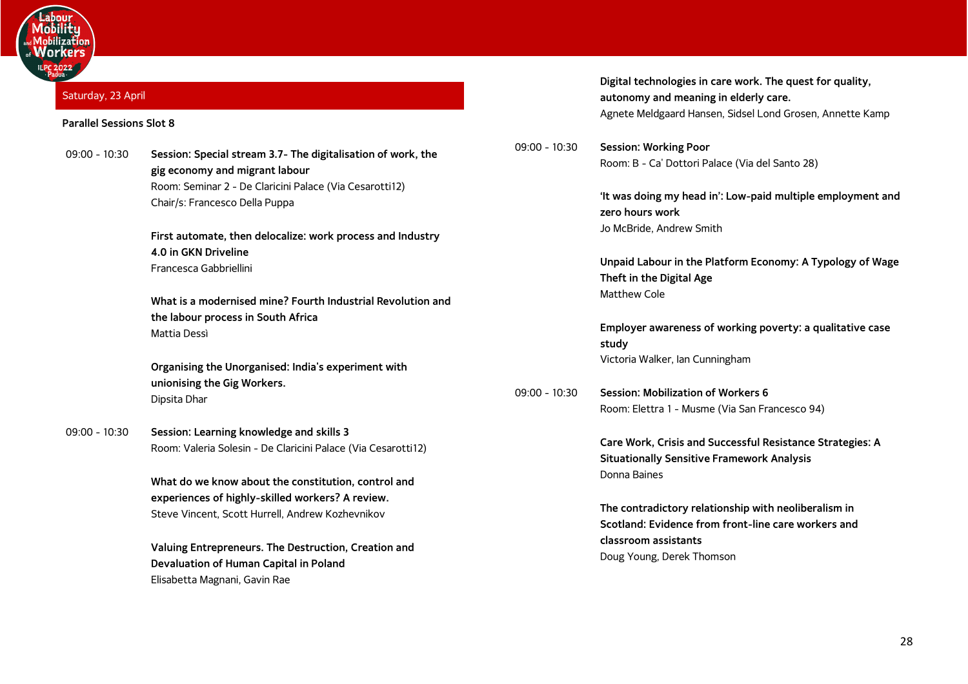

### <span id="page-27-0"></span>Saturday, 23 April

#### <span id="page-27-1"></span>**Parallel Sessions Slot 8**

09:00 - 10:30 **Session: Special stream 3.7- The digitalisation of work, the gig economy and migrant labour** Room: Seminar 2 - De Claricini Palace (Via Cesarotti12) Chair/s: Francesco Della Puppa

> **First automate, then delocalize: work process and Industry 4.0 in GKN Driveline** Francesca Gabbriellini

**What is a modernised mine? Fourth Industrial Revolution and the labour process in South Africa** Mattia Dessì

**Organising the Unorganised: India's experiment with unionising the Gig Workers.** Dipsita Dhar

09:00 - 10:30 **Session: Learning knowledge and skills 3** Room: Valeria Solesin - De Claricini Palace (Via Cesarotti12)

> **What do we know about the constitution, control and experiences of highly-skilled workers? A review.** Steve Vincent, Scott Hurrell, Andrew Kozhevnikov

> **Valuing Entrepreneurs. The Destruction, Creation and Devaluation of Human Capital in Poland** Elisabetta Magnani, Gavin Rae

**Digital technologies in care work. The quest for quality, autonomy and meaning in elderly care.** Agnete Meldgaard Hansen, Sidsel Lond Grosen, Annette Kamp

09:00 - 10:30 **Session: Working Poor** Room: B - Ca' Dottori Palace (Via del Santo 28)

> **'It was doing my head in': Low-paid multiple employment and zero hours work** Jo McBride, Andrew Smith

> **Unpaid Labour in the Platform Economy: A Typology of Wage Theft in the Digital Age** Matthew Cole

**Employer awareness of working poverty: a qualitative case study** Victoria Walker, Ian Cunningham

09:00 - 10:30 **Session: Mobilization of Workers 6** Room: Elettra 1 - Musme (Via San Francesco 94)

> **Care Work, Crisis and Successful Resistance Strategies: A Situationally Sensitive Framework Analysis** Donna Baines

**The contradictory relationship with neoliberalism in Scotland: Evidence from front-line care workers and classroom assistants** Doug Young, Derek Thomson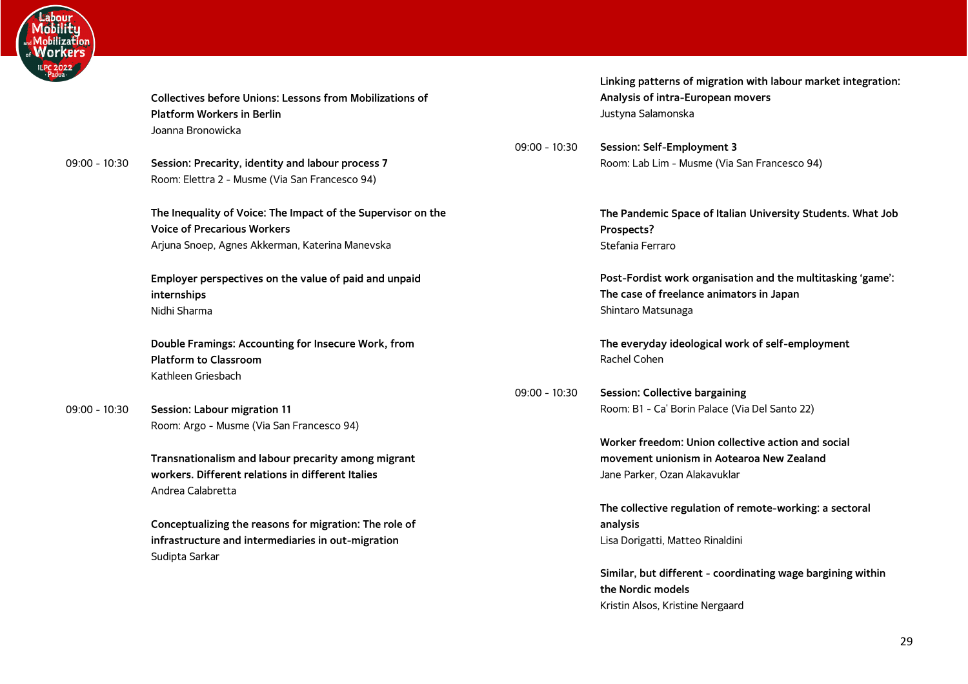

**Collectives before Unions: Lessons from Mobilizations of Platform Workers in Berlin** Joanna Bronowicka

# 09:00 - 10:30 **Session: Precarity, identity and labour process 7** Room: Elettra 2 - Musme (Via San Francesco 94)

**The Inequality of Voice: The Impact of the Supervisor on the Voice of Precarious Workers** Arjuna Snoep, Agnes Akkerman, Katerina Manevska

**Employer perspectives on the value of paid and unpaid internships** Nidhi Sharma

**Double Framings: Accounting for Insecure Work, from Platform to Classroom** Kathleen Griesbach

09:00 - 10:30 **Session: Labour migration 11** Room: Argo - Musme (Via San Francesco 94)

> **Transnationalism and labour precarity among migrant workers. Different relations in different Italies** Andrea Calabretta

> **Conceptualizing the reasons for migration: The role of infrastructure and intermediaries in out-migration** Sudipta Sarkar

**Linking patterns of migration with labour market integration: Analysis of intra-European movers** Justyna Salamonska

09:00 - 10:30 **Session: Self-Employment 3** Room: Lab Lim - Musme (Via San Francesco 94)

> **The Pandemic Space of Italian University Students. What Job Prospects?** Stefania Ferraro

**Post-Fordist work organisation and the multitasking 'game': The case of freelance animators in Japan** Shintaro Matsunaga

**The everyday ideological work of self-employment** Rachel Cohen

09:00 - 10:30 **Session: Collective bargaining** Room: B1 - Ca' Borin Palace (Via Del Santo 22)

> **Worker freedom: Union collective action and social movement unionism in Aotearoa New Zealand** Jane Parker, Ozan Alakavuklar

**The collective regulation of remote-working: a sectoral analysis** Lisa Dorigatti, Matteo Rinaldini

**Similar, but different - coordinating wage bargining within the Nordic models** Kristin Alsos, Kristine Nergaard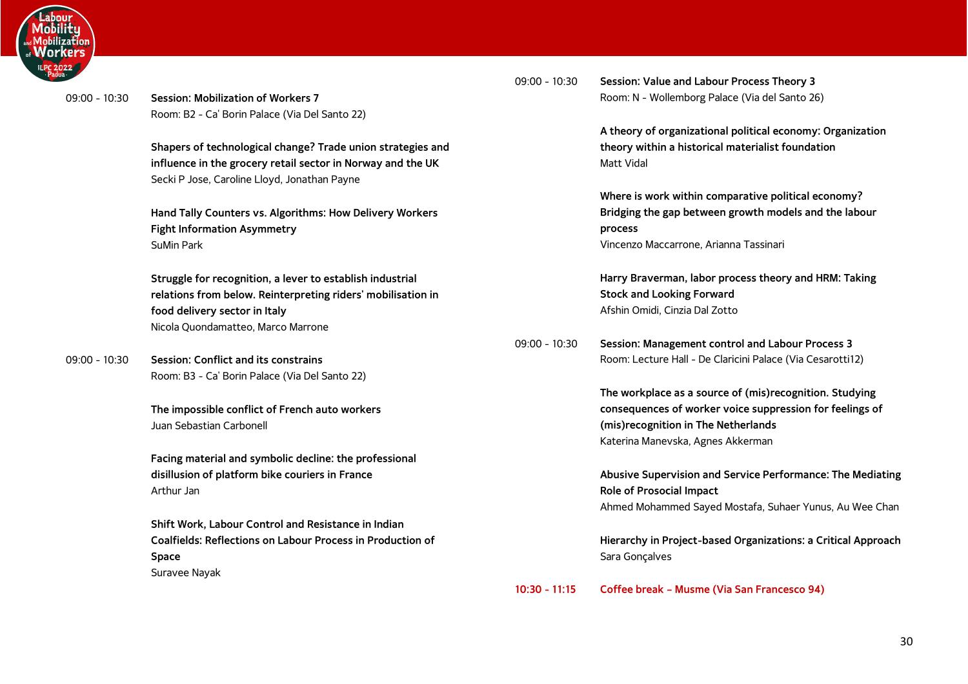

09:00 - 10:30 **Session: Mobilization of Workers 7** Room: B2 - Ca' Borin Palace (Via Del Santo 22)

> **Shapers of technological change? Trade union strategies and influence in the grocery retail sector in Norway and the UK** Secki P Jose, Caroline Lloyd, Jonathan Payne

**Hand Tally Counters vs. Algorithms: How Delivery Workers Fight Information Asymmetry** SuMin Park

**Struggle for recognition, a lever to establish industrial relations from below. Reinterpreting riders' mobilisation in food delivery sector in Italy** Nicola Quondamatteo, Marco Marrone

09:00 - 10:30 **Session: Conflict and its constrains** Room: B3 - Ca' Borin Palace (Via Del Santo 22)

> **The impossible conflict of French auto workers** Juan Sebastian Carbonell

**Facing material and symbolic decline: the professional disillusion of platform bike couriers in France** Arthur Jan

**Shift Work, Labour Control and Resistance in Indian Coalfields: Reflections on Labour Process in Production of Space** Suravee Nayak

09:00 - 10:30 **Session: Value and Labour Process Theory 3** Room: N - Wollemborg Palace (Via del Santo 26)

> **A theory of organizational political economy: Organization theory within a historical materialist foundation** Matt Vidal

**Where is work within comparative political economy? Bridging the gap between growth models and the labour process** Vincenzo Maccarrone, Arianna Tassinari

**Harry Braverman, labor process theory and HRM: Taking Stock and Looking Forward** Afshin Omidi, Cinzia Dal Zotto

09:00 - 10:30 **Session: Management control and Labour Process 3** Room: Lecture Hall - De Claricini Palace (Via Cesarotti12)

> **The workplace as a source of (mis)recognition. Studying consequences of worker voice suppression for feelings of (mis)recognition in The Netherlands** Katerina Manevska, Agnes Akkerman

**Abusive Supervision and Service Performance: The Mediating Role of Prosocial Impact** Ahmed Mohammed Sayed Mostafa, Suhaer Yunus, Au Wee Chan

**Hierarchy in Project-based Organizations: a Critical Approach** Sara Gonçalves

**10:30 - 11:15 Coffee break – Musme (Via San Francesco 94)**